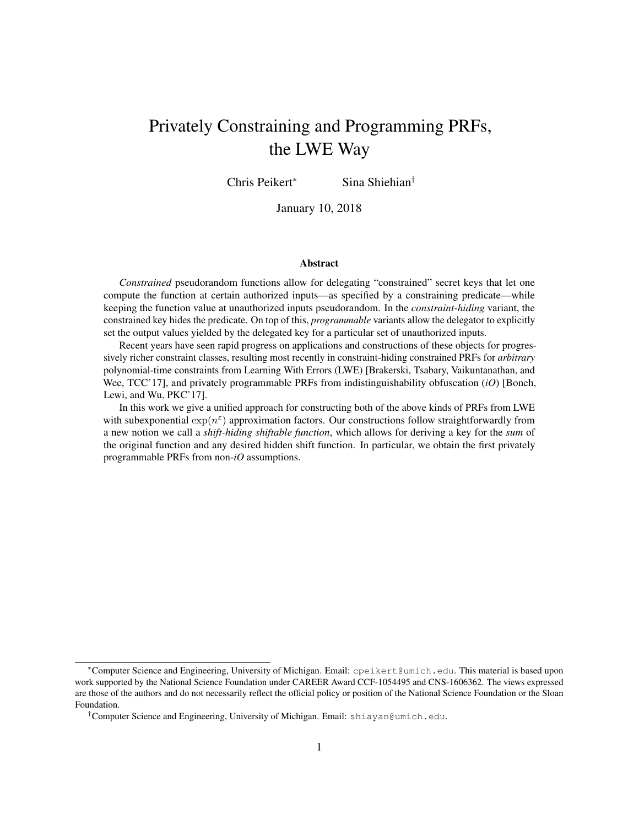# Privately Constraining and Programming PRFs, the LWE Way

Chris Peikert<sup>∗</sup> Sina Shiehian†

January 10, 2018

#### Abstract

*Constrained* pseudorandom functions allow for delegating "constrained" secret keys that let one compute the function at certain authorized inputs—as specified by a constraining predicate—while keeping the function value at unauthorized inputs pseudorandom. In the *constraint-hiding* variant, the constrained key hides the predicate. On top of this, *programmable* variants allow the delegator to explicitly set the output values yielded by the delegated key for a particular set of unauthorized inputs.

Recent years have seen rapid progress on applications and constructions of these objects for progressively richer constraint classes, resulting most recently in constraint-hiding constrained PRFs for *arbitrary* polynomial-time constraints from Learning With Errors (LWE) [Brakerski, Tsabary, Vaikuntanathan, and Wee, TCC'17], and privately programmable PRFs from indistinguishability obfuscation (*iO*) [Boneh, Lewi, and Wu, PKC'17].

In this work we give a unified approach for constructing both of the above kinds of PRFs from LWE with subexponential  $\exp(n^{\epsilon})$  approximation factors. Our constructions follow straightforwardly from a new notion we call a *shift-hiding shiftable function*, which allows for deriving a key for the *sum* of the original function and any desired hidden shift function. In particular, we obtain the first privately programmable PRFs from non-*iO* assumptions.

<sup>∗</sup>Computer Science and Engineering, University of Michigan. Email: cpeikert@umich.edu. This material is based upon work supported by the National Science Foundation under CAREER Award CCF-1054495 and CNS-1606362. The views expressed are those of the authors and do not necessarily reflect the official policy or position of the National Science Foundation or the Sloan Foundation.

<sup>†</sup>Computer Science and Engineering, University of Michigan. Email: shiayan@umich.edu.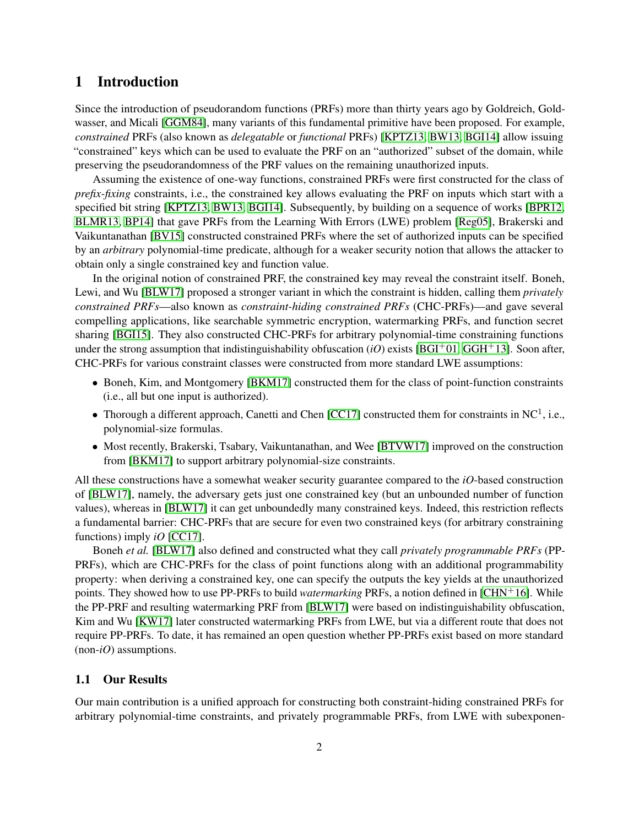# 1 Introduction

Since the introduction of pseudorandom functions (PRFs) more than thirty years ago by Goldreich, Goldwasser, and Micali [\[GGM84\]](#page-25-0), many variants of this fundamental primitive have been proposed. For example, *constrained* PRFs (also known as *delegatable* or *functional* PRFs) [\[KPTZ13,](#page-26-0) [BW13,](#page-25-1) [BGI14\]](#page-24-0) allow issuing "constrained" keys which can be used to evaluate the PRF on an "authorized" subset of the domain, while preserving the pseudorandomness of the PRF values on the remaining unauthorized inputs.

Assuming the existence of one-way functions, constrained PRFs were first constructed for the class of *prefix-fixing* constraints, i.e., the constrained key allows evaluating the PRF on inputs which start with a specified bit string [\[KPTZ13,](#page-26-0) [BW13,](#page-25-1) [BGI14\]](#page-24-0). Subsequently, by building on a sequence of works [\[BPR12,](#page-25-2) [BLMR13,](#page-25-3) [BP14\]](#page-25-4) that gave PRFs from the Learning With Errors (LWE) problem [\[Reg05\]](#page-26-1), Brakerski and Vaikuntanathan [\[BV15\]](#page-25-5) constructed constrained PRFs where the set of authorized inputs can be specified by an *arbitrary* polynomial-time predicate, although for a weaker security notion that allows the attacker to obtain only a single constrained key and function value.

In the original notion of constrained PRF, the constrained key may reveal the constraint itself. Boneh, Lewi, and Wu [\[BLW17\]](#page-25-6) proposed a stronger variant in which the constraint is hidden, calling them *privately constrained PRFs*—also known as *constraint-hiding constrained PRFs* (CHC-PRFs)—and gave several compelling applications, like searchable symmetric encryption, watermarking PRFs, and function secret sharing [\[BGI15\]](#page-25-7). They also constructed CHC-PRFs for arbitrary polynomial-time constraining functions under the strong assumption that indistinguishability obfuscation  $(iO)$  exists [\[BGI](#page-24-1)<sup>+</sup>01, [GGH](#page-25-8)<sup>+</sup>13]. Soon after, CHC-PRFs for various constraint classes were constructed from more standard LWE assumptions:

- Boneh, Kim, and Montgomery [\[BKM17\]](#page-25-9) constructed them for the class of point-function constraints (i.e., all but one input is authorized).
- Thorough a different approach, Canetti and Chen [\[CC17\]](#page-25-10) constructed them for constraints in NC<sup>1</sup>, i.e., polynomial-size formulas.
- Most recently, Brakerski, Tsabary, Vaikuntanathan, and Wee [\[BTVW17\]](#page-25-11) improved on the construction from [\[BKM17\]](#page-25-9) to support arbitrary polynomial-size constraints.

All these constructions have a somewhat weaker security guarantee compared to the *iO*-based construction of [\[BLW17\]](#page-25-6), namely, the adversary gets just one constrained key (but an unbounded number of function values), whereas in [\[BLW17\]](#page-25-6) it can get unboundedly many constrained keys. Indeed, this restriction reflects a fundamental barrier: CHC-PRFs that are secure for even two constrained keys (for arbitrary constraining functions) imply *iO* [\[CC17\]](#page-25-10).

Boneh *et al.* [\[BLW17\]](#page-25-6) also defined and constructed what they call *privately programmable PRFs* (PP-PRFs), which are CHC-PRFs for the class of point functions along with an additional programmability property: when deriving a constrained key, one can specify the outputs the key yields at the unauthorized points. They showed how to use PP-PRFs to build *watermarking* PRFs, a notion defined in [\[CHN](#page-25-12)+16]. While the PP-PRF and resulting watermarking PRF from [\[BLW17\]](#page-25-6) were based on indistinguishability obfuscation, Kim and Wu [\[KW17\]](#page-26-2) later constructed watermarking PRFs from LWE, but via a different route that does not require PP-PRFs. To date, it has remained an open question whether PP-PRFs exist based on more standard (non-*iO*) assumptions.

## 1.1 Our Results

Our main contribution is a unified approach for constructing both constraint-hiding constrained PRFs for arbitrary polynomial-time constraints, and privately programmable PRFs, from LWE with subexponen-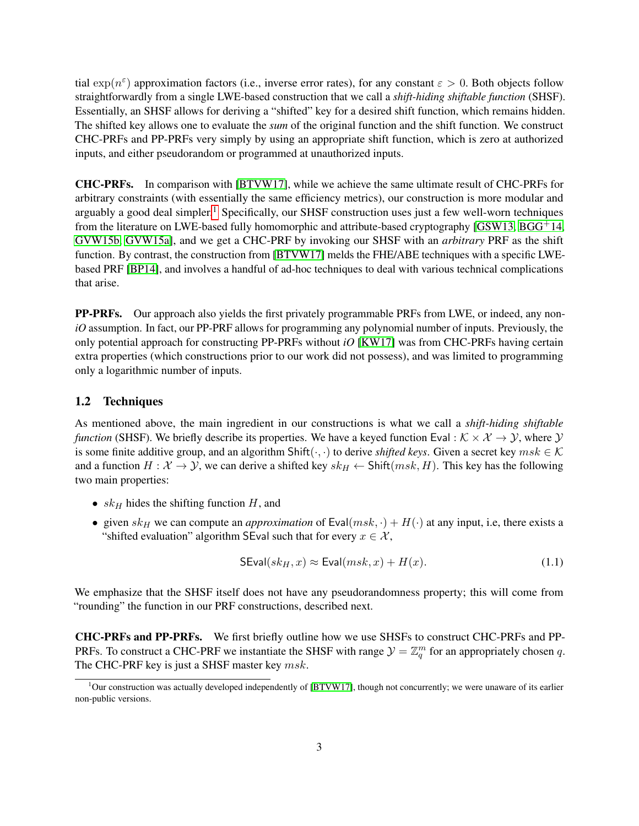tial  $\exp(n^{\varepsilon})$  approximation factors (i.e., inverse error rates), for any constant  $\varepsilon > 0$ . Both objects follow straightforwardly from a single LWE-based construction that we call a *shift-hiding shiftable function* (SHSF). Essentially, an SHSF allows for deriving a "shifted" key for a desired shift function, which remains hidden. The shifted key allows one to evaluate the *sum* of the original function and the shift function. We construct CHC-PRFs and PP-PRFs very simply by using an appropriate shift function, which is zero at authorized inputs, and either pseudorandom or programmed at unauthorized inputs.

CHC-PRFs. In comparison with [\[BTVW17\]](#page-25-11), while we achieve the same ultimate result of CHC-PRFs for arbitrary constraints (with essentially the same efficiency metrics), our construction is more modular and arguably a good deal simpler.<sup>[1](#page-2-0)</sup> Specifically, our SHSF construction uses just a few well-worn techniques from the literature on LWE-based fully homomorphic and attribute-based cryptography [\[GSW13,](#page-25-13) [BGG](#page-24-2)+14, [GVW15b,](#page-25-14) [GVW15a\]](#page-25-15), and we get a CHC-PRF by invoking our SHSF with an *arbitrary* PRF as the shift function. By contrast, the construction from [\[BTVW17\]](#page-25-11) melds the FHE/ABE techniques with a specific LWEbased PRF [\[BP14\]](#page-25-4), and involves a handful of ad-hoc techniques to deal with various technical complications that arise.

PP-PRFs. Our approach also yields the first privately programmable PRFs from LWE, or indeed, any non*iO* assumption. In fact, our PP-PRF allows for programming any polynomial number of inputs. Previously, the only potential approach for constructing PP-PRFs without *iO* [\[KW17\]](#page-26-2) was from CHC-PRFs having certain extra properties (which constructions prior to our work did not possess), and was limited to programming only a logarithmic number of inputs.

## 1.2 Techniques

As mentioned above, the main ingredient in our constructions is what we call a *shift-hiding shiftable function* (SHSF). We briefly describe its properties. We have a keyed function Eval :  $K \times \mathcal{X} \rightarrow \mathcal{Y}$ , where  $\mathcal{Y}$ is some finite additive group, and an algorithm Shift( $\cdot, \cdot$ ) to derive *shifted keys*. Given a secret key  $msk \in \mathcal{K}$ and a function  $H : \mathcal{X} \to \mathcal{Y}$ , we can derive a shifted key  $sk_H \leftarrow \text{Shift}(msk, H)$ . This key has the following two main properties:

- $sk_H$  hides the shifting function  $H$ , and
- given  $sk_H$  we can compute an *approximation* of  $Eval(msk, \cdot) + H(\cdot)$  at any input, i.e, there exists a "shifted evaluation" algorithm SEval such that for every  $x \in \mathcal{X}$ ,

<span id="page-2-1"></span>
$$
SEval(sk_H, x) \approx Eval(msk, x) + H(x). \tag{1.1}
$$

We emphasize that the SHSF itself does not have any pseudorandomness property; this will come from "rounding" the function in our PRF constructions, described next.

CHC-PRFs and PP-PRFs. We first briefly outline how we use SHSFs to construct CHC-PRFs and PP-PRFs. To construct a CHC-PRF we instantiate the SHSF with range  $\mathcal{Y} = \mathbb{Z}_q^m$  for an appropriately chosen q. The CHC-PRF key is just a SHSF master key  $msk$ .

<span id="page-2-0"></span> $1$ Our construction was actually developed independently of [\[BTVW17\]](#page-25-11), though not concurrently; we were unaware of its earlier non-public versions.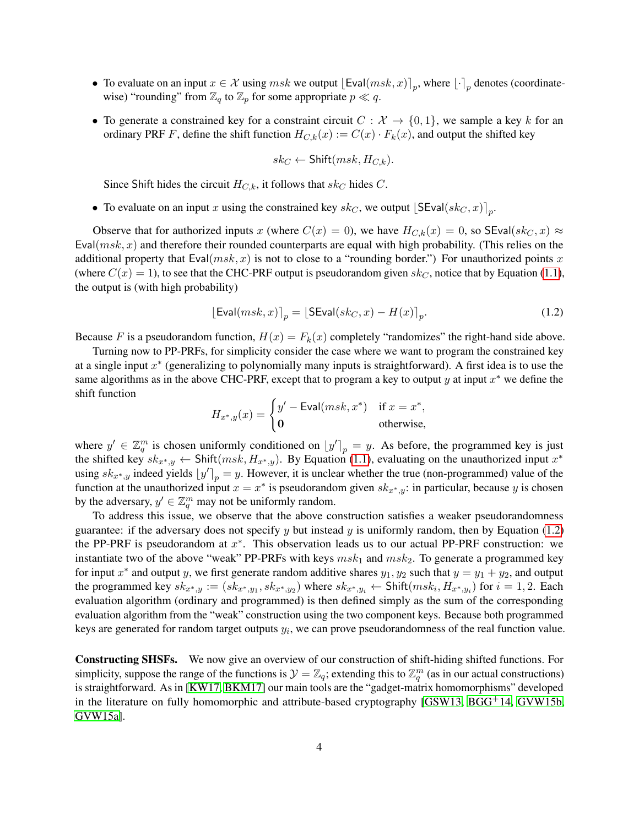- To evaluate on an input  $x \in \mathcal{X}$  using  $msk$  we output  $\left[ \text{Eval}(msk, x) \right]_p$ , where  $\left[ \cdot \right]_p$  denotes (coordinatewise) "rounding" from  $\mathbb{Z}_q$  to  $\mathbb{Z}_p$  for some appropriate  $p \ll q$ .
- To generate a constrained key for a constraint circuit  $C : \mathcal{X} \to \{0,1\}$ , we sample a key k for an ordinary PRF F, define the shift function  $H_{C,k}(x) := C(x) \cdot F_k(x)$ , and output the shifted key

<span id="page-3-0"></span>
$$
sk_C \leftarrow \mathsf{Shift}(msk, H_{C,k}).
$$

Since Shift hides the circuit  $H_{C,k}$ , it follows that  $sk_C$  hides C.

• To evaluate on an input x using the constrained key sk<sub>C</sub>, we output  $\left[SEval(sk_C, x)\right]_p$ .

Observe that for authorized inputs x (where  $C(x) = 0$ ), we have  $H_{C,k}(x) = 0$ , so SEval(s $k<sub>C</sub>, x$ )  $\approx$ Eval( $msk, x$ ) and therefore their rounded counterparts are equal with high probability. (This relies on the additional property that Eval $(msk, x)$  is not to close to a "rounding border.") For unauthorized points x (where  $C(x) = 1$ ), to see that the CHC-PRF output is pseudorandom given  $sk_C$ , notice that by Equation [\(1.1\)](#page-2-1), the output is (with high probability)

$$
[\text{Eval}(msk, x)]_p = [\text{SEval}(sk_C, x) - H(x)]_p. \tag{1.2}
$$

Because F is a pseudorandom function,  $H(x) = F_k(x)$  completely "randomizes" the right-hand side above.

Turning now to PP-PRFs, for simplicity consider the case where we want to program the constrained key at a single input  $x^*$  (generalizing to polynomially many inputs is straightforward). A first idea is to use the same algorithms as in the above CHC-PRF, except that to program a key to output y at input  $x^*$  we define the shift function

$$
H_{x^*,y}(x) = \begin{cases} y' - \text{Eval}(msk, x^*) & \text{if } x = x^*, \\ 0 & \text{otherwise,} \end{cases}
$$

where  $y' \in \mathbb{Z}_q^m$  is chosen uniformly conditioned on  $[y']_p = y$ . As before, the programmed key is just the shifted key  $sk_{x^*,y} \leftarrow$  Shift $(msk, H_{x^*,y})$ . By Equation [\(1.1\)](#page-2-1), evaluating on the unauthorized input  $x^*$ using  $sk_{x^*,y}$  indeed yields  $[y']_p = y$ . However, it is unclear whether the true (non-programmed) value of the function at the unauthorized input  $x = x^*$  is pseudorandom given  $sk_{x^*,y}$ : in particular, because y is chosen by the adversary,  $y' \in \mathbb{Z}_q^m$  may not be uniformly random.

To address this issue, we observe that the above construction satisfies a weaker pseudorandomness guarantee: if the adversary does not specify y but instead y is uniformly random, then by Equation [\(1.2\)](#page-3-0) the PP-PRF is pseudorandom at  $x^*$ . This observation leads us to our actual PP-PRF construction: we instantiate two of the above "weak" PP-PRFs with keys  $msk_1$  and  $msk_2$ . To generate a programmed key for input  $x^*$  and output y, we first generate random additive shares  $y_1, y_2$  such that  $y = y_1 + y_2$ , and output the programmed key  $sk_{x^*,y} := (sk_{x^*,y_1}, sk_{x^*,y_2})$  where  $sk_{x^*,y_i} \leftarrow \text{Shift}(msk_i, H_{x^*,y_i})$  for  $i = 1, 2$ . Each evaluation algorithm (ordinary and programmed) is then defined simply as the sum of the corresponding evaluation algorithm from the "weak" construction using the two component keys. Because both programmed keys are generated for random target outputs  $y_i$ , we can prove pseudorandomness of the real function value.

Constructing SHSFs. We now give an overview of our construction of shift-hiding shifted functions. For simplicity, suppose the range of the functions is  $\mathcal{Y} = \mathbb{Z}_q$ ; extending this to  $\mathbb{Z}_q^m$  (as in our actual constructions) is straightforward. As in [\[KW17,](#page-26-2) [BKM17\]](#page-25-9) our main tools are the "gadget-matrix homomorphisms" developed in the literature on fully homomorphic and attribute-based cryptography  $[GSW13, BGG<sup>+</sup>14, GVW15b,$  $[GSW13, BGG<sup>+</sup>14, GVW15b,$  $[GSW13, BGG<sup>+</sup>14, GVW15b,$  $[GSW13, BGG<sup>+</sup>14, GVW15b,$  $[GSW13, BGG<sup>+</sup>14, GVW15b,$ [GVW15a\]](#page-25-15).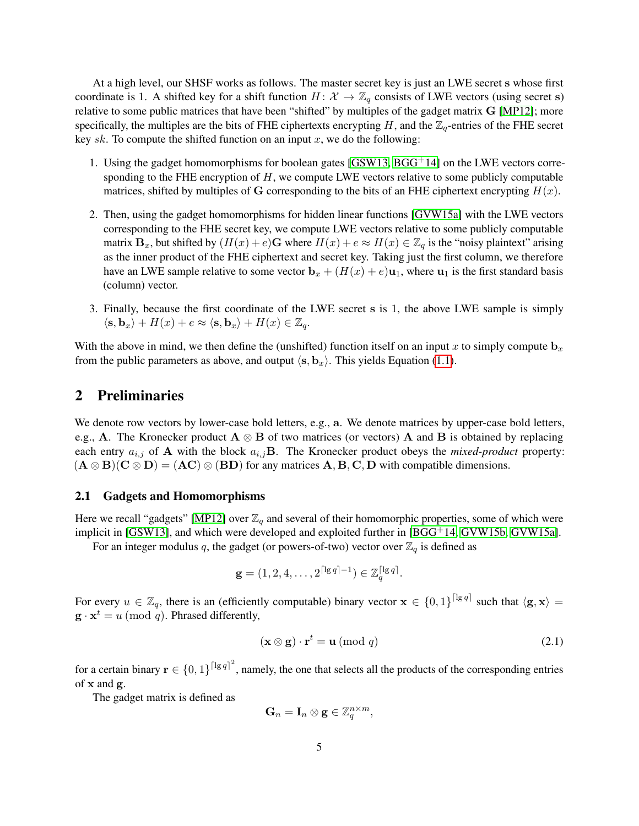At a high level, our SHSF works as follows. The master secret key is just an LWE secret s whose first coordinate is 1. A shifted key for a shift function  $H: \mathcal{X} \to \mathbb{Z}_q$  consists of LWE vectors (using secret s) relative to some public matrices that have been "shifted" by multiples of the gadget matrix G [\[MP12\]](#page-26-3); more specifically, the multiples are the bits of FHE ciphertexts encrypting H, and the  $\mathbb{Z}_q$ -entries of the FHE secret key sk. To compute the shifted function on an input x, we do the following:

- 1. Using the gadget homomorphisms for boolean gates [\[GSW13,](#page-25-13) [BGG](#page-24-2)+14] on the LWE vectors corresponding to the FHE encryption of  $H$ , we compute LWE vectors relative to some publicly computable matrices, shifted by multiples of G corresponding to the bits of an FHE ciphertext encrypting  $H(x)$ .
- 2. Then, using the gadget homomorphisms for hidden linear functions [\[GVW15a\]](#page-25-15) with the LWE vectors corresponding to the FHE secret key, we compute LWE vectors relative to some publicly computable matrix  $\mathbf{B}_x$ , but shifted by  $(H(x) + e)\mathbf{G}$  where  $H(x) + e \approx H(x) \in \mathbb{Z}_q$  is the "noisy plaintext" arising as the inner product of the FHE ciphertext and secret key. Taking just the first column, we therefore have an LWE sample relative to some vector  $\mathbf{b}_x + (H(x) + e)\mathbf{u}_1$ , where  $\mathbf{u}_1$  is the first standard basis (column) vector.
- 3. Finally, because the first coordinate of the LWE secret s is 1, the above LWE sample is simply  $\langle$ s, b<sub>x</sub> $\rangle$  + H(x) + e  $\approx$   $\langle$ s, b<sub>x</sub> $\rangle$  + H(x)  $\in \mathbb{Z}_q$ .

With the above in mind, we then define the (unshifted) function itself on an input x to simply compute  $\mathbf{b}_x$ from the public parameters as above, and output  $\langle s, b_x \rangle$ . This yields Equation [\(1.1\)](#page-2-1).

# 2 Preliminaries

We denote row vectors by lower-case bold letters, e.g., a. We denote matrices by upper-case bold letters, e.g., A. The Kronecker product  $A \otimes B$  of two matrices (or vectors) A and B is obtained by replacing each entry  $a_{i,j}$  of **A** with the block  $a_{i,j}$ **B**. The Kronecker product obeys the *mixed-product* property:  $(A \otimes B)(C \otimes D) = (AC) \otimes (BD)$  for any matrices  $A, B, C, D$  with compatible dimensions.

## 2.1 Gadgets and Homomorphisms

Here we recall "gadgets" [\[MP12\]](#page-26-3) over  $\mathbb{Z}_q$  and several of their homomorphic properties, some of which were implicit in [\[GSW13\]](#page-25-13), and which were developed and exploited further in [\[BGG](#page-24-2)+14, [GVW15b,](#page-25-14) [GVW15a\]](#page-25-15).

For an integer modulus q, the gadget (or powers-of-two) vector over  $\mathbb{Z}_q$  is defined as

$$
\mathbf{g}=(1,2,4,\ldots,2^{\lceil\lg q\rceil-1})\in\mathbb{Z}_q^{\lceil\lg q\rceil}.
$$

For every  $u \in \mathbb{Z}_q$ , there is an (efficiently computable) binary vector  $\mathbf{x} \in \{0,1\}^{\lceil \lg q \rceil}$  such that  $\langle \mathbf{g}, \mathbf{x} \rangle =$  $\mathbf{g} \cdot \mathbf{x}^t = u \pmod{q}$ . Phrased differently,

<span id="page-4-0"></span>
$$
(\mathbf{x} \otimes \mathbf{g}) \cdot \mathbf{r}^t = \mathbf{u} \ (\text{mod } q) \tag{2.1}
$$

for a certain binary  $\mathbf{r} \in \{0,1\}^{\lceil \lg q \rceil^2}$ , namely, the one that selects all the products of the corresponding entries of x and g.

The gadget matrix is defined as

$$
\mathbf{G}_n = \mathbf{I}_n \otimes \mathbf{g} \in \mathbb{Z}_q^{n \times m},
$$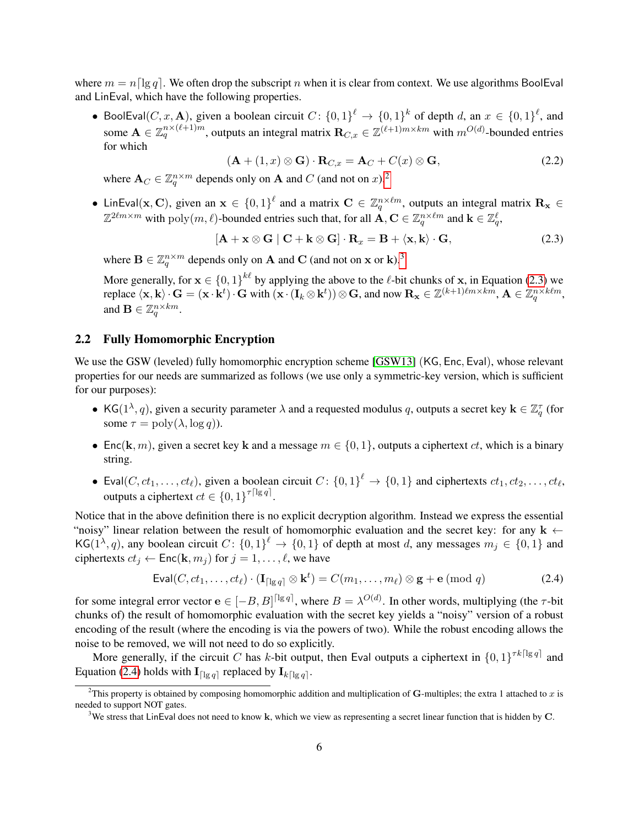where  $m = n \log q$ . We often drop the subscript n when it is clear from context. We use algorithms BoolEval and LinEval, which have the following properties.

• BoolEval(C, x, A), given a boolean circuit  $C: \{0,1\}^{\ell} \to \{0,1\}^{k}$  of depth d, an  $x \in \{0,1\}^{\ell}$ , and some  $\mathbf{A} \in \mathbb{Z}_q^{n \times (\ell+1)m}$ , outputs an integral matrix  $\mathbf{R}_{C,x} \in \mathbb{Z}^{(\ell+1)m \times km}$  with  $m^{O(d)}$ -bounded entries for which

<span id="page-5-5"></span><span id="page-5-2"></span>
$$
(\mathbf{A} + (1, x) \otimes \mathbf{G}) \cdot \mathbf{R}_{C,x} = \mathbf{A}_C + C(x) \otimes \mathbf{G},
$$
\n(2.2)

where  $\mathbf{A}_C \in \mathbb{Z}_q^{n \times m}$  depends only on  $\mathbf{A}$  and  $C$  (and not on  $x$ ).<sup>[2](#page-5-0)</sup>

• LinEval(x, C), given an  $x \in \{0,1\}^{\ell}$  and a matrix  $C \in \mathbb{Z}_q^{n \times \ell m}$ , outputs an integral matrix  $\mathbf{R}_x \in$  $\mathbb{Z}^{2\ell m \times m}$  with  $\text{poly}(m, \ell)$ -bounded entries such that, for all  $\mathbf{A}, \mathbf{C} \in \mathbb{Z}_q^{n \times \ell m}$  and  $\mathbf{k} \in \mathbb{Z}_q^{\ell}$ ,

$$
[\mathbf{A} + \mathbf{x} \otimes \mathbf{G} \mid \mathbf{C} + \mathbf{k} \otimes \mathbf{G}] \cdot \mathbf{R}_x = \mathbf{B} + \langle \mathbf{x}, \mathbf{k} \rangle \cdot \mathbf{G}, \tag{2.3}
$$

where  $\mathbf{B} \in \mathbb{Z}_q^{n \times m}$  depends only on **A** and **C** (and not on **x** or **k**).<sup>[3](#page-5-1)</sup>

More generally, for  $x \in \{0,1\}^{k\ell}$  by applying the above to the  $\ell$ -bit chunks of x, in Equation [\(2.3\)](#page-5-2) we replace  $\langle \mathbf{x}, \mathbf{k} \rangle \cdot \mathbf{G} = (\mathbf{x} \cdot \mathbf{k}^t) \cdot \mathbf{G}$  with  $(\mathbf{x} \cdot (\mathbf{I}_k \otimes \mathbf{k}^t)) \otimes \mathbf{G}$ , and now  $\mathbf{R}_{\mathbf{x}} \in \mathbb{Z}^{(k+1)\ell m \times km}$ ,  $\mathbf{A} \in \mathbb{Z}_q^{n \times k\ell m}$ , and  $\mathbf{B} \in \mathbb{Z}_q^{n \times km}$ .

# <span id="page-5-4"></span>2.2 Fully Homomorphic Encryption

We use the GSW (leveled) fully homomorphic encryption scheme [\[GSW13\]](#page-25-13) (KG, Enc, Eval), whose relevant properties for our needs are summarized as follows (we use only a symmetric-key version, which is sufficient for our purposes):

- KG( $1^{\lambda}, q$ ), given a security parameter  $\lambda$  and a requested modulus q, outputs a secret key  $\mathbf{k} \in \mathbb{Z}_q^{\tau}$  (for some  $\tau = \text{poly}(\lambda, \log q)$ ).
- Enc(k, m), given a secret key k and a message  $m \in \{0, 1\}$ , outputs a ciphertext ct, which is a binary string.
- Eval $(C, ct_1, \ldots, ct_\ell)$ , given a boolean circuit  $C: \{0, 1\}^\ell \to \{0, 1\}$  and ciphertexts  $ct_1, ct_2, \ldots, ct_\ell$ , outputs a ciphertext  $ct \in \{0,1\}^{\tau \lceil \lg q \rceil}$ .

Notice that in the above definition there is no explicit decryption algorithm. Instead we express the essential "noisy" linear relation between the result of homomorphic evaluation and the secret key: for any  $k \leftarrow$ KG( $1^{\lambda}, q$ ), any boolean circuit  $C: \{0, 1\}^{\ell} \to \{0, 1\}$  of depth at most d, any messages  $m_j \in \{0, 1\}$  and ciphertexts  $ct_i \leftarrow \text{Enc}(\mathbf{k}, m_i)$  for  $j = 1, \dots, \ell$ , we have

<span id="page-5-3"></span>
$$
\text{Eval}(C, ct_1, \dots, ct_\ell) \cdot (\mathbf{I}_{\lceil \lg q \rceil} \otimes \mathbf{k}^t) = C(m_1, \dots, m_\ell) \otimes \mathbf{g} + \mathbf{e} \pmod{q} \tag{2.4}
$$

for some integral error vector  $e \in [-B, B]^{[lg q]}$ , where  $B = \lambda^{O(d)}$ . In other words, multiplying (the  $\tau$ -bit chunks of) the result of homomorphic evaluation with the secret key yields a "noisy" version of a robust encoding of the result (where the encoding is via the powers of two). While the robust encoding allows the noise to be removed, we will not need to do so explicitly.

More generally, if the circuit C has k-bit output, then Eval outputs a ciphertext in  $\{0,1\}^{\tau k \lceil \lg q \rceil}$  and Equation [\(2.4\)](#page-5-3) holds with  $\mathbf{I}_{\lceil \lg q \rceil}$  replaced by  $\mathbf{I}_{k\lceil \lg q \rceil}$ .

<span id="page-5-0"></span><sup>&</sup>lt;sup>2</sup>This property is obtained by composing homomorphic addition and multiplication of G-multiples; the extra 1 attached to  $x$  is needed to support NOT gates.

<span id="page-5-1"></span><sup>&</sup>lt;sup>3</sup>We stress that LinEval does not need to know k, which we view as representing a secret linear function that is hidden by C.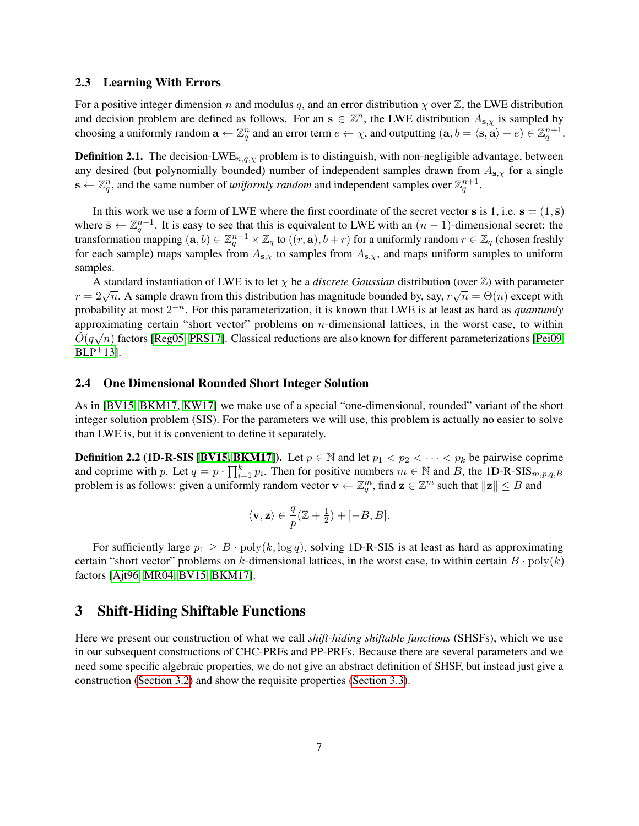#### 2.3 Learning With Errors

For a positive integer dimension n and modulus q, and an error distribution  $\chi$  over  $\mathbb{Z}$ , the LWE distribution and decision problem are defined as follows. For an  $s \in \mathbb{Z}^n$ , the LWE distribution  $A_{s,\chi}$  is sampled by choosing a uniformly random  $\mathbf{a} \leftarrow \mathbb{Z}_q^n$  and an error term  $e \leftarrow \chi$ , and outputting  $(\mathbf{a}, b = \langle \mathbf{s}, \mathbf{a} \rangle + e) \in \mathbb{Z}_q^{n+1}$ .

**Definition 2.1.** The decision-LWE<sub>n,q, $\chi$ </sub> problem is to distinguish, with non-negligible advantage, between any desired (but polynomially bounded) number of independent samples drawn from  $A_{s,\chi}$  for a single  $\mathbf{s} \leftarrow \mathbb{Z}_q^n$ , and the same number of *uniformly random* and independent samples over  $\mathbb{Z}_q^{n+1}$ .

In this work we use a form of LWE where the first coordinate of the secret vector s is 1, i.e.  $s = (1, \bar{s})$ where  $\bar{s} \leftarrow \mathbb{Z}_q^{n-1}$ . It is easy to see that this is equivalent to LWE with an  $(n-1)$ -dimensional secret: the transformation mapping  $(a, b) \in \mathbb{Z}_q^{n-1} \times \mathbb{Z}_q$  to  $((r, a), b + r)$  for a uniformly random  $r \in \mathbb{Z}_q$  (chosen freshly for each sample) maps samples from  $A_{\bar{s},\chi}$  to samples from  $A_{s,\chi}$ , and maps uniform samples to uniform samples.

A standard instantiation of LWE is to let  $\chi$  be a *discrete Gaussian* distribution (over Z) with parameter A standard instantiation of EWE is to let  $\chi$  be a discrete Gaussian distribution (over  $\mathbb{Z}$ ) with parameter  $r = 2\sqrt{n}$ . A sample drawn from this distribution has magnitude bounded by, say,  $r\sqrt{n} = \Theta(n)$  except with probability at most  $2^{-n}$ . For this parameterization, it is known that LWE is at least as hard as *quantumly* approximating certain "short vector" problems on *n*-dimensional lattices, in the worst case, to within  $\tilde{O}(q\sqrt{n})$  factors [\[Reg05,](#page-26-1) [PRS17\]](#page-26-4). Classical reductions are also known for different parameterizations [\[Pei09,](#page-26-5)  $BLP^+13$  $BLP^+13$ ].

## 2.4 One Dimensional Rounded Short Integer Solution

As in [\[BV15,](#page-25-5) [BKM17,](#page-25-9) [KW17\]](#page-26-2) we make use of a special "one-dimensional, rounded" variant of the short integer solution problem (SIS). For the parameters we will use, this problem is actually no easier to solve than LWE is, but it is convenient to define it separately.

**Definition 2.2 (1D-R-SIS [\[BV15,](#page-25-5) [BKM17\]](#page-25-9)).** Let  $p \in \mathbb{N}$  and let  $p_1 < p_2 < \cdots < p_k$  be pairwise coprime and coprime with p. Let  $q = p \cdot \prod_{i=1}^{k} p_i$ . Then for positive numbers  $m \in \mathbb{N}$  and B, the 1D-R-SIS $_{m,p,q,B}$ problem is as follows: given a uniformly random vector  $\mathbf{v} \leftarrow \mathbb{Z}_q^m$ , find  $\mathbf{z} \in \mathbb{Z}^m$  such that  $\|\mathbf{z}\| \leq B$  and

$$
\langle \mathbf{v}, \mathbf{z} \rangle \in \frac{q}{p} (\mathbb{Z} + \frac{1}{2}) + [-B, B].
$$

For sufficiently large  $p_1 \geq B \cdot \text{poly}(k, \log q)$ , solving 1D-R-SIS is at least as hard as approximating certain "short vector" problems on k-dimensional lattices, in the worst case, to within certain  $B \cdot \text{poly}(k)$ factors [\[Ajt96,](#page-24-3) [MR04,](#page-26-6) [BV15,](#page-25-5) [BKM17\]](#page-25-9).

# <span id="page-6-0"></span>3 Shift-Hiding Shiftable Functions

Here we present our construction of what we call *shift-hiding shiftable functions* (SHSFs), which we use in our subsequent constructions of CHC-PRFs and PP-PRFs. Because there are several parameters and we need some specific algebraic properties, we do not give an abstract definition of SHSF, but instead just give a construction [\(Section 3.2\)](#page-7-0) and show the requisite properties [\(Section 3.3\)](#page-9-0).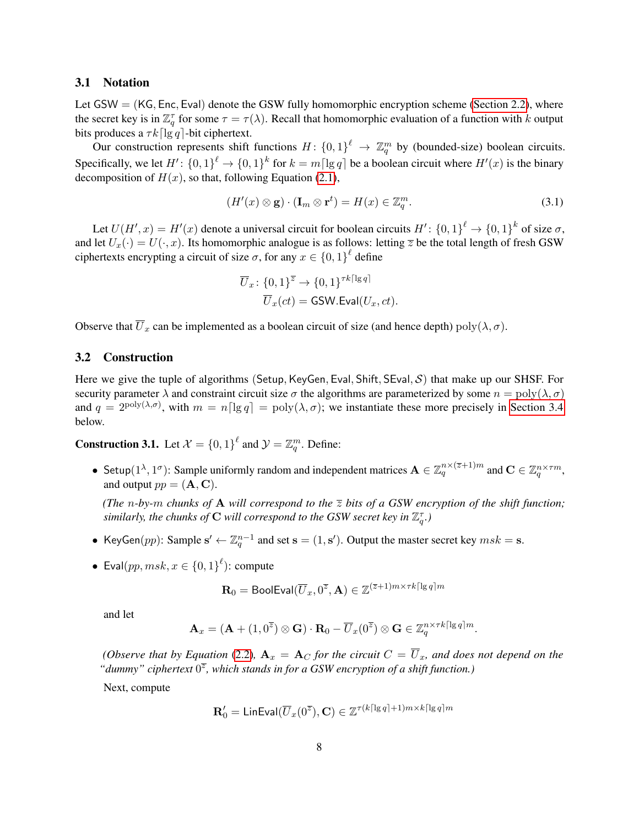#### 3.1 Notation

Let  $GSW = (KG, Enc, Exal)$  denote the GSW fully homomorphic encryption scheme [\(Section 2.2\)](#page-5-4), where the secret key is in  $\mathbb{Z}_q^{\tau}$  for some  $\tau = \tau(\lambda)$ . Recall that homomorphic evaluation of a function with k output bits produces a  $\tau k$ [lg q]-bit ciphertext.

Our construction represents shift functions  $H: \{0,1\}^{\ell} \to \mathbb{Z}_q^m$  by (bounded-size) boolean circuits. Specifically, we let  $H' \colon \{0,1\}^{\ell} \to \{0,1\}^k$  for  $k = m \lceil \lg q \rceil$  be a boolean circuit where  $H'(x)$  is the binary decomposition of  $H(x)$ , so that, following Equation [\(2.1\)](#page-4-0),

$$
(H'(x)\otimes \mathbf{g})\cdot (\mathbf{I}_m\otimes \mathbf{r}^t) = H(x) \in \mathbb{Z}_q^m.
$$
 (3.1)

Let  $U(H',x) = H'(x)$  denote a universal circuit for boolean circuits  $H' : \{0,1\}^{\ell} \to \{0,1\}^k$  of size  $\sigma$ , and let  $U_x(\cdot) = U(\cdot, x)$ . Its homomorphic analogue is as follows: letting  $\overline{z}$  be the total length of fresh GSW ciphertexts encrypting a circuit of size  $\sigma$ , for any  $x \in \{0,1\}^{\ell}$  define

<span id="page-7-1"></span>
$$
\overline{U}_x \colon \{0,1\}^{\overline{z}} \to \{0,1\}^{\tau k \lceil \lg q \rceil}
$$

$$
\overline{U}_x(ct) = \text{GSW.Eval}(U_x, ct).
$$

Observe that  $\overline{U}_x$  can be implemented as a boolean circuit of size (and hence depth) poly $(\lambda, \sigma)$ .

#### <span id="page-7-0"></span>3.2 Construction

Here we give the tuple of algorithms (Setup, KeyGen, Eval, Shift, SEval, S) that make up our SHSF. For security parameter  $\lambda$  and constraint circuit size  $\sigma$  the algorithms are parameterized by some  $n = \text{poly}(\lambda, \sigma)$ and  $q = 2^{\text{poly}(\lambda,\sigma)}$ , with  $m = n \lceil \lg q \rceil = \text{poly}(\lambda,\sigma)$ ; we instantiate these more precisely in [Section 3.4](#page-12-0) below.

**Construction 3.1.** Let  $\mathcal{X} = \{0, 1\}^{\ell}$  and  $\mathcal{Y} = \mathbb{Z}_q^m$ . Define:

• Setup $(1^{\lambda}, 1^{\sigma})$ : Sample uniformly random and independent matrices  $\mathbf{A} \in \mathbb{Z}_q^{n \times (\overline{z}+1)m}$  and  $\mathbf{C} \in \mathbb{Z}_q^{n \times \tau m}$ , and output  $pp = (\mathbf{A}, \mathbf{C})$ .

*(The* n-by-m chunks of **A** will correspond to the  $\overline{z}$  bits of a GSW encryption of the shift function; similarly, the chunks of  $\mathbf C$  will correspond to the GSW secret key in  $\mathbb Z_q^{\tau}$ .)

- KeyGen $(pp)$ : Sample  $\mathbf{s}' \leftarrow \mathbb{Z}_q^{n-1}$  and set  $\mathbf{s} = (1, \mathbf{s}')$ . Output the master secret key  $msk = \mathbf{s}$ .
- Eval $(pp, msk, x \in \{0,1\}^{\ell})$ : compute

$$
\mathbf{R}_0 = \mathsf{BoolEval}(\overline{U}_x, 0^{\overline{z}}, \mathbf{A}) \in \mathbb{Z}^{(\overline{z}+1)m \times \tau k \lceil \lg q \rceil m}
$$

and let

$$
\mathbf{A}_x = (\mathbf{A} + (1,0^{\overline{z}}) \otimes \mathbf{G}) \cdot \mathbf{R}_0 - \overline{U}_x(0^{\overline{z}}) \otimes \mathbf{G} \in \mathbb{Z}_q^{n \times \tau k \lceil \lg q \rceil m}.
$$

*(Observe that by Equation [\(2.2\)](#page-5-5),*  $\mathbf{A}_x = \mathbf{A}_C$  *for the circuit*  $C = \overline{U}_x$ *, and does not depend on the* "dummy" ciphertext  $0^{\overline{z}}$ , which stands in for a GSW encryption of a shift function.)

Next, compute

$$
\mathbf{R}'_0 = \text{LinEval}(\overline{U}_x(0^{\overline{z}}), \mathbf{C}) \in \mathbb{Z}^{\tau(k\lceil \lg q \rceil + 1)m \times k\lceil \lg q \rceil m}
$$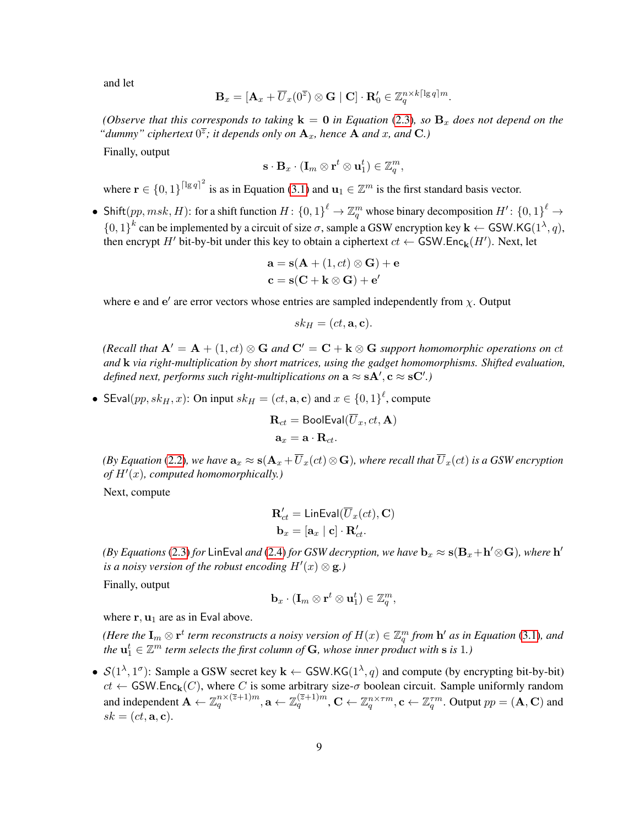and let

$$
\mathbf{B}_x=[\mathbf{A}_x+\overline{U}_x(0^{\overline{z}})\otimes\mathbf{G}\mid \mathbf{C}]\cdot\mathbf{R}_0'\in\mathbb{Z}_q^{n\times k\lceil\lg q\rceil m}.
$$

*(Observe that this corresponds to taking*  $k = 0$  *in Equation* [\(2.3\)](#page-5-2)*, so*  $B_x$  *does not depend on the* "dummy" ciphertext  $0^{\overline{z}}$ ; it depends only on  $\mathbf{A}_x$ , hence  $\mathbf{A}$  and  $x$ , and  $\mathbf{C}$ .)

Finally, output

$$
\mathbf{s}\cdot \mathbf{B}_x\cdot (\mathbf{I}_m \otimes \mathbf{r}^t \otimes \mathbf{u}_1^t) \in \mathbb{Z}_q^m,
$$

where  $\mathbf{r} \in \{0,1\}^{\lceil \lg q \rceil^2}$  is as in Equation [\(3.1\)](#page-7-1) and  $\mathbf{u}_1 \in \mathbb{Z}^m$  is the first standard basis vector.

• Shift $(pp, msk, H)$ : for a shift function  $H: \{0, 1\}^{\ell} \to \mathbb{Z}_q^m$  whose binary decomposition  $H': \{0, 1\}^{\ell} \to$  $\{0,1\}^k$  can be implemented by a circuit of size  $\sigma$ , sample a GSW encryption key  $\mathbf{k} \leftarrow$  GSW.KG(1<sup> $\lambda$ </sup>, q), then encrypt  $H'$  bit-by-bit under this key to obtain a ciphertext  $ct \leftarrow$  GSW.Enc<sub>k</sub> $(H')$ . Next, let

$$
\mathbf{a} = \mathbf{s}(\mathbf{A} + (1, ct) \otimes \mathbf{G}) + \mathbf{e}
$$

$$
\mathbf{c} = \mathbf{s}(\mathbf{C} + \mathbf{k} \otimes \mathbf{G}) + \mathbf{e}'
$$

where e and e' are error vectors whose entries are sampled independently from  $\chi$ . Output

$$
sk_H = (ct, \mathbf{a}, \mathbf{c}).
$$

*(Recall that*  $A' = A + (1, ct) \otimes G$  *and*  $C' = C + k \otimes G$  *support homomorphic operations on* ct *and* k *via right-multiplication by short matrices, using the gadget homomorphisms. Shifted evaluation, defined next, performs such right-multiplications on*  $a \approx sA', c \approx sC'.$ 

• SEval $(pp, sk_H, x)$ : On input  $sk_H = (ct, a, c)$  and  $x \in \{0, 1\}^{\ell}$ , compute

$$
\mathbf{R}_{ct} = \mathsf{BoolEval}(U_x, ct, \mathbf{A})
$$

$$
\mathbf{a}_x = \mathbf{a} \cdot \mathbf{R}_{ct}.
$$

*(By Equation* [\(2.2\)](#page-5-5)*, we have*  $\mathbf{a}_x \approx \mathbf{s}(\mathbf{A}_x + \overline{U}_x(ct) \otimes \mathbf{G})$ *, where recall that*  $\overline{U}_x(ct)$  *is a GSW encryption* of  $H'(x)$ , computed homomorphically.)

Next, compute

$$
\mathbf{R}'_{ct} = \text{LinEval}(\overline{U}_x(ct), \mathbf{C})
$$

$$
\mathbf{b}_x = [\mathbf{a}_x \mid \mathbf{c}] \cdot \mathbf{R}'_{ct}.
$$

*(By Equations [\(2.3\)](#page-5-2) for LinEval and [\(2.4\)](#page-5-3) for GSW decryption, we have*  $\mathbf{b}_x \approx \mathbf{s}(\mathbf{B}_x + \mathbf{h}' \otimes \mathbf{G})$ *, where*  $\mathbf{h}'$ *is a noisy version of the robust encoding*  $H'(x) \otimes \mathbf{g}$ .)

Finally, output

$$
\mathbf{b}_x\cdot(\mathbf{I}_m\otimes \mathbf{r}^t\otimes \mathbf{u}_1^t)\in \mathbb{Z}_q^m,
$$

where  $r, u_1$  are as in Eval above.

*(Here the*  $\mathbf{I}_m \otimes \mathbf{r}^t$  *term reconstructs a noisy version of*  $H(x) \in \mathbb{Z}_q^m$  *from*  $\mathbf{h}'$  *as in Equation* [\(3.1\)](#page-7-1)*, and* the  $\mathbf{u}_1^t \in \mathbb{Z}^m$  term selects the first column of  $\mathbf{G}$ , whose inner product with  $\mathbf{s}$  is  $1$ .)

•  $S(1^{\lambda}, 1^{\sigma})$ : Sample a GSW secret key  $k \leftarrow$  GSW.KG $(1^{\lambda}, q)$  and compute (by encrypting bit-by-bit)  $ct \leftarrow$  GSW.Enc<sub>k</sub>(C), where C is some arbitrary size- $\sigma$  boolean circuit. Sample uniformly random and independent  $\mathbf{A} \leftarrow \mathbb{Z}_q^{n \times (\overline{z}+1)m}$ ,  $\mathbf{a} \leftarrow \mathbb{Z}_q^{(\overline{z}+1)m}$ ,  $\mathbf{C} \leftarrow \mathbb{Z}_q^{n \times \tau m}$ ,  $\mathbf{c} \leftarrow \mathbb{Z}_q^{\tau m}$ . Output  $pp = (\mathbf{A}, \mathbf{C})$  and  $sk = (ct, \mathbf{a}, \mathbf{c}).$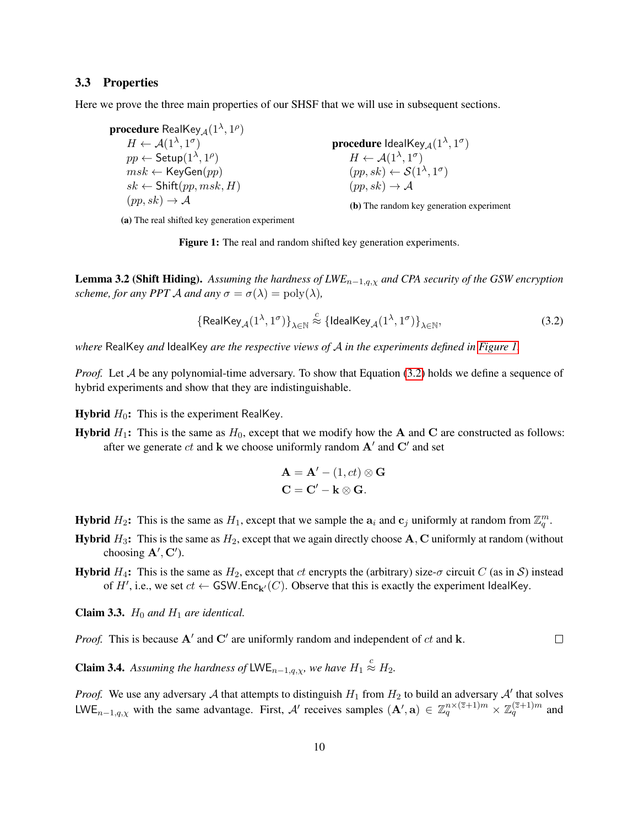#### <span id="page-9-0"></span>3.3 Properties

<span id="page-9-1"></span>Here we prove the three main properties of our SHSF that we will use in subsequent sections.

 $\boldsymbol{p}$ rocedure  $\mathsf{RealKey}_{\mathcal{A}}(1^{\lambda},1^{\rho})$  $H \leftarrow \mathcal{A}(1^{\lambda}, 1^{\sigma})$  $pp \leftarrow \mathsf{Setup}(1^\lambda,1^\rho)$  $msk \leftarrow \mathsf{KeyGen}(pp)$  $sk \leftarrow$  Shift $(pp, msk, H)$  $(pp, sk) \rightarrow A$ 

 $\boldsymbol{p}$ rocedure Ideal $\mathsf{Key}_{\mathcal{A}}(1^{\lambda},1^{\sigma})$  $H \leftarrow \mathcal{A}(1^{\lambda}, 1^{\sigma})$  $(pp, sk) \leftarrow S(1^{\lambda}, 1^{\sigma})$  $(pp, sk) \rightarrow A$ 

<span id="page-9-2"></span>(b) The random key generation experiment

(a) The real shifted key generation experiment

Figure 1: The real and random shifted key generation experiments.

<span id="page-9-3"></span>Lemma 3.2 (Shift Hiding). *Assuming the hardness of LWE*n−1,q,χ *and CPA security of the GSW encryption scheme, for any PPT A and any*  $\sigma = \sigma(\lambda) = \text{poly}(\lambda)$ ,

$$
\left\{ \mathsf{RealKey}_{\mathcal{A}}(1^{\lambda}, 1^{\sigma}) \right\}_{\lambda \in \mathbb{N}} \stackrel{c}{\approx} \left\{ \mathsf{IdealKey}_{\mathcal{A}}(1^{\lambda}, 1^{\sigma}) \right\}_{\lambda \in \mathbb{N}},\tag{3.2}
$$

*where* RealKey *and* IdealKey *are the respective views of* A *in the experiments defined in [Figure 1.](#page-9-1)*

*Proof.* Let A be any polynomial-time adversary. To show that Equation [\(3.2\)](#page-9-2) holds we define a sequence of hybrid experiments and show that they are indistinguishable.

**Hybrid**  $H_0$ : This is the experiment RealKey.

**Hybrid**  $H_1$ : This is the same as  $H_0$ , except that we modify how the **A** and **C** are constructed as follows: after we generate  $ct$  and k we choose uniformly random  $A'$  and  $C'$  and set

$$
\mathbf{A} = \mathbf{A}' - (1, ct) \otimes \mathbf{G}
$$

$$
\mathbf{C} = \mathbf{C}' - \mathbf{k} \otimes \mathbf{G}.
$$

- **Hybrid**  $H_2$ : This is the same as  $H_1$ , except that we sample the  $a_i$  and  $c_j$  uniformly at random from  $\mathbb{Z}_q^m$ .
- **Hybrid**  $H_3$ : This is the same as  $H_2$ , except that we again directly choose A, C uniformly at random (without choosing  $\mathbf{A}', \mathbf{C}'$ ).
- **Hybrid**  $H_4$ : This is the same as  $H_2$ , except that ct encrypts the (arbitrary) size- $\sigma$  circuit C (as in S) instead of H', i.e., we set  $ct \leftarrow$  GSW.Enc<sub>k'</sub>(C). Observe that this is exactly the experiment IdealKey.

Claim 3.3.  $H_0$  and  $H_1$  are identical.

*Proof.* This is because  $A'$  and  $C'$  are uniformly random and independent of  $ct$  and  $k$ .  $\Box$ 

**Claim 3.4.** Assuming the hardness of LWE<sub>n-1,q, $\chi$ </sub>, we have  $H_1 \stackrel{c}{\approx} H_2$ .

*Proof.* We use any adversary A that attempts to distinguish  $H_1$  from  $H_2$  to build an adversary A' that solves LWE<sub>n-1,q, $\chi$ </sub> with the same advantage. First, A' receives samples  $(A', a) \in \mathbb{Z}_q^{n \times (\bar{z}+1)m} \times \mathbb{Z}_q^{(\bar{z}+1)m}$  and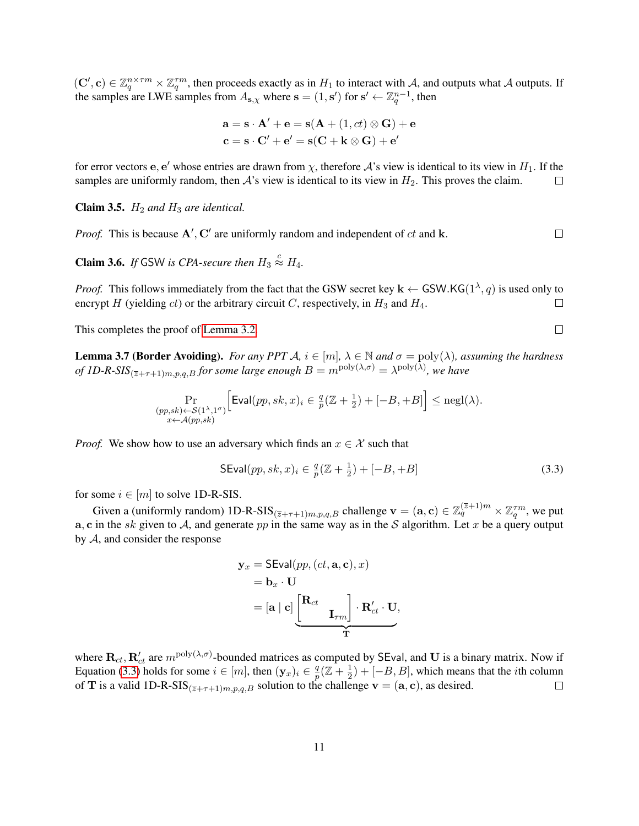$(C', c) \in \mathbb{Z}_q^{n \times \tau m} \times \mathbb{Z}_q^{\tau m}$ , then proceeds exactly as in  $H_1$  to interact with A, and outputs what A outputs. If the samples are LWE samples from  $A_{s,\chi}$  where  $s = (1, s')$  for  $s' \leftarrow \mathbb{Z}_q^{n-1}$ , then

$$
\mathbf{a} = \mathbf{s} \cdot \mathbf{A}' + \mathbf{e} = \mathbf{s}(\mathbf{A} + (1, ct) \otimes \mathbf{G}) + \mathbf{e}
$$

$$
\mathbf{c} = \mathbf{s} \cdot \mathbf{C}' + \mathbf{e}' = \mathbf{s}(\mathbf{C} + \mathbf{k} \otimes \mathbf{G}) + \mathbf{e}'
$$

for error vectors e, e' whose entries are drawn from  $\chi$ , therefore  $\mathcal{A}$ 's view is identical to its view in  $H_1$ . If the samples are uniformly random, then  $\mathcal{A}$ 's view is identical to its view in  $H_2$ . This proves the claim.  $\Box$ 

**Claim 3.5.**  $H_2$  *and*  $H_3$  *are identical.* 

*Proof.* This is because  $A'$ ,  $C'$  are uniformly random and independent of  $ct$  and  $k$ .  $\Box$ 

**Claim 3.6.** If GSW is CPA-secure then  $H_3 \stackrel{c}{\approx} H_4$ .

*Proof.* This follows immediately from the fact that the GSW secret key  $\mathbf{k} \leftarrow$  GSW.KG( $1^{\lambda}, q$ ) is used only to encrypt H (yielding ct) or the arbitrary circuit C, respectively, in  $H_3$  and  $H_4$ .  $\Box$ 

This completes the proof of [Lemma 3.2.](#page-9-3)

<span id="page-10-2"></span>**Lemma 3.7 (Border Avoiding).** *For any PPT*  $A$ ,  $i \in [m]$ ,  $\lambda \in \mathbb{N}$  and  $\sigma = \text{poly}(\lambda)$ , assuming the hardness *of 1D-R-SIS* $_{(\bar{z}+\tau+1)m,p,q,B}$  *for some large enough*  $B=m^{\text{poly}(\lambda,\sigma)}=\lambda^{\text{poly}(\lambda)}$ , we have

$$
\Pr_{\substack{(pp,sk)\leftarrow \mathcal{S}(1^{\lambda},1^{\sigma})\\x\leftarrow \mathcal{A}(pp,sk)}}\Big[\text{Eval}(pp, sk, x)_i \in \frac{q}{p}(\mathbb{Z} + \frac{1}{2}) + [-B, +B]\Big] \le \text{negl}(\lambda).
$$

*Proof.* We show how to use an adversary which finds an  $x \in \mathcal{X}$  such that

$$
SEval(pp, sk, x)_i \in \frac{q}{p}(\mathbb{Z} + \frac{1}{2}) + [-B, +B]
$$
\n(3.3)

for some  $i \in [m]$  to solve 1D-R-SIS.

Given a (uniformly random) 1D-R-SIS $_{(\overline{z}+\tau+1)m,p,q,B}$  challenge  $\mathbf{v}=(\mathbf{a},\mathbf{c})\in\mathbb{Z}_q^{(\overline{z}+1)m}\times\mathbb{Z}_q^{\tau m}$ , we put a, c in the sk given to A, and generate pp in the same way as in the S algorithm. Let x be a query output by  $A$ , and consider the response

$$
\mathbf{y}_x = \text{SEval}(pp, (ct, \mathbf{a}, \mathbf{c}), x)
$$
  
=  $\mathbf{b}_x \cdot \mathbf{U}$   
=  $[\mathbf{a} | \mathbf{c}] \underbrace{\begin{bmatrix} \mathbf{R}_{ct} \\ \mathbf{I}_{\tau m} \end{bmatrix} \cdot \mathbf{R}'_{ct} \cdot \mathbf{U}}_{\mathbf{T}},$ 

<span id="page-10-1"></span>where  $\mathbf{R}_{ct}$ ,  $\mathbf{R}'_{ct}$  are  $m^{\text{poly}(\lambda,\sigma)}$ -bounded matrices as computed by SEval, and U is a binary matrix. Now if Equation [\(3.3\)](#page-10-0) holds for some  $i \in [m]$ , then  $(\mathbf{y}_x)_i \in \frac{q}{n}$  $\frac{q}{p}(\mathbb{Z}+\frac{1}{2})$  $(\frac{1}{2}) + [-B, B]$ , which means that the *i*th column of T is a valid 1D-R-SIS $_{(\overline{z}+\tau+1)m,p,q,B}$  solution to the challenge  $\mathbf{v}=(\mathbf{a},\mathbf{c})$ , as desired.  $\Box$ 

<span id="page-10-0"></span> $\Box$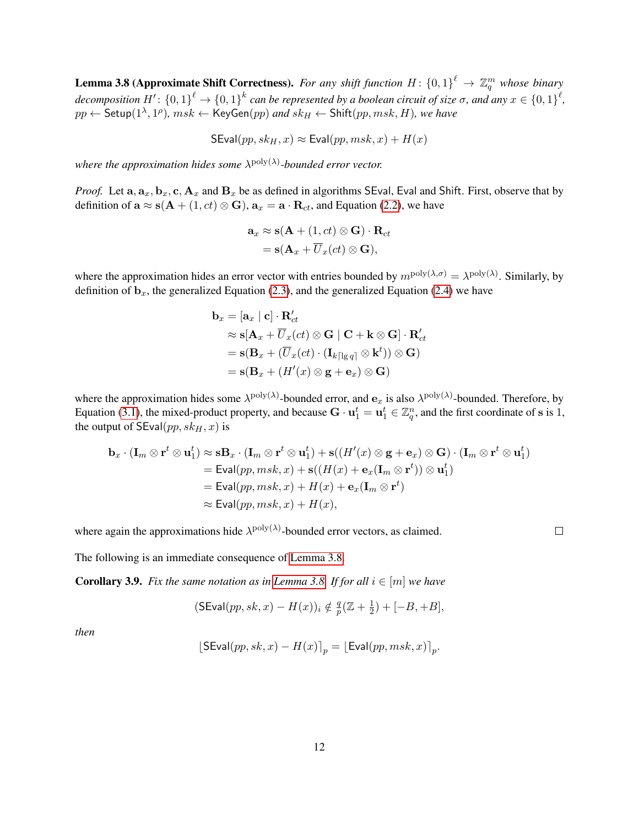**Lemma 3.8 (Approximate Shift Correctness).** For any shift function  $H: \{0,1\}^{\ell} \to \mathbb{Z}_q^m$  whose binary decomposition  $H'$ :  $\{0,1\}^{\ell} \to \{0,1\}^{k}$  can be represented by a boolean circuit of size  $\sigma$ , and any  $x \in \{0,1\}^{\ell}$ ,  $pp \leftarrow \mathsf{Setup}(1^\lambda, 1^\rho)$ ,  $msk \leftarrow \mathsf{KeyGen}(pp)$  and  $sk_H \leftarrow \mathsf{Shift}(pp, msk, H)$ , we have

 $\mathsf{SEval}(pp, sk_H, x) \approx \mathsf{Eval}(pp, msk, x) + H(x)$ 

where the approximation hides some  $\lambda^{poly(\lambda)}$ -bounded error vector.

*Proof.* Let  $a_1, a_2, b_1, c_1, a_2$  and  $B_x$  be as defined in algorithms SEval, Eval and Shift. First, observe that by definition of  $\mathbf{a} \approx \mathbf{s}(\mathbf{A} + (1, ct) \otimes \mathbf{G})$ ,  $\mathbf{a}_x = \mathbf{a} \cdot \mathbf{R}_{ct}$ , and Equation [\(2.2\)](#page-5-5), we have

$$
\mathbf{a}_x \approx \mathbf{s}(\mathbf{A} + (1, ct) \otimes \mathbf{G}) \cdot \mathbf{R}_{ct}
$$
  
=  $\mathbf{s}(\mathbf{A}_x + \overline{U}_x(ct) \otimes \mathbf{G}),$ 

where the approximation hides an error vector with entries bounded by  $m^{\text{poly}(\lambda,\sigma)} = \lambda^{\text{poly}(\lambda)}$ . Similarly, by definition of  $\mathbf{b}_x$ , the generalized Equation [\(2.3\)](#page-5-2), and the generalized Equation [\(2.4\)](#page-5-3) we have

$$
\mathbf{b}_x = [\mathbf{a}_x \mid \mathbf{c}] \cdot \mathbf{R}'_{ct}
$$
  
\n
$$
\approx \mathbf{s} [\mathbf{A}_x + \overline{U}_x(ct) \otimes \mathbf{G} \mid \mathbf{C} + \mathbf{k} \otimes \mathbf{G}] \cdot \mathbf{R}'_{ct}
$$
  
\n
$$
= \mathbf{s} (\mathbf{B}_x + (\overline{U}_x(ct) \cdot (\mathbf{I}_{k\lceil \lg q \rceil} \otimes \mathbf{k}^t)) \otimes \mathbf{G})
$$
  
\n
$$
= \mathbf{s} (\mathbf{B}_x + (H'(x) \otimes \mathbf{g} + \mathbf{e}_x) \otimes \mathbf{G})
$$

where the approximation hides some  $\lambda^{poly}(\lambda)$ -bounded error, and  $e_x$  is also  $\lambda^{poly}(\lambda)$ -bounded. Therefore, by Equation [\(3.1\)](#page-7-1), the mixed-product property, and because  $\mathbf{G} \cdot \mathbf{u}_1^t = \mathbf{u}_1^t \in \mathbb{Z}_q^n$ , and the first coordinate of s is 1, the output of  $SEval(pp, sk_H, x)$  is

$$
\mathbf{b}_x \cdot (\mathbf{I}_m \otimes \mathbf{r}^t \otimes \mathbf{u}_1^t) \approx \mathbf{s} \mathbf{B}_x \cdot (\mathbf{I}_m \otimes \mathbf{r}^t \otimes \mathbf{u}_1^t) + \mathbf{s}((H'(x) \otimes \mathbf{g} + \mathbf{e}_x) \otimes \mathbf{G}) \cdot (\mathbf{I}_m \otimes \mathbf{r}^t \otimes \mathbf{u}_1^t)
$$
  
\n= Evaluatemath display="block">\begin{aligned}\n&= \text{Eval}(pp, msk, x) + \mathbf{s}((H(x) + \mathbf{e}\_x(\mathbf{I}\_m \otimes \mathbf{r}^t)) \otimes \mathbf{u}\_1^t) \\
&= \text{Eval}(pp, msk, x) + H(x) + \mathbf{e}\_x(\mathbf{I}\_m \otimes \mathbf{r}^t) \\
&\approx \text{Eval}(pp, msk, x) + H(x),\n\end{aligned}

where again the approximations hide  $\lambda^{\text{poly}}(\lambda)$ -bounded error vectors, as claimed.

 $\Box$ 

<span id="page-11-0"></span>The following is an immediate consequence of [Lemma 3.8.](#page-10-1)

**Corollary 3.9.** *Fix the same notation as in [Lemma 3.8.](#page-10-1) If for all*  $i \in [m]$  *we have* 

$$
(\mathsf{SEval}(pp, sk, x) - H(x))_i \notin \frac{q}{p}(\mathbb{Z} + \frac{1}{2}) + [-B, +B],
$$

*then*

$$
[\mathsf{SEval}(pp, sk, x) - H(x)]_p = [\mathsf{Eval}(pp, msk, x)]_p.
$$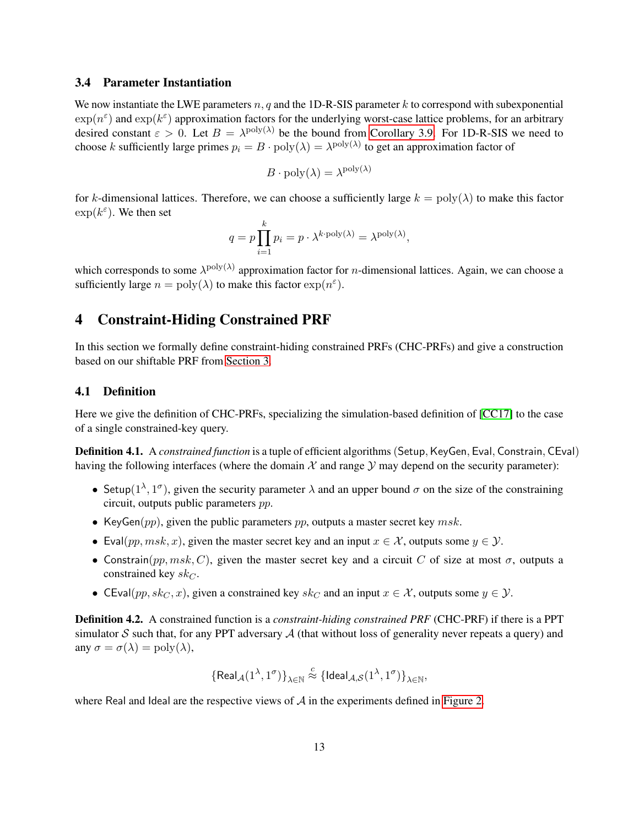#### <span id="page-12-0"></span>3.4 Parameter Instantiation

We now instantiate the LWE parameters  $n, q$  and the 1D-R-SIS parameter k to correspond with subexponential  $\exp(n^{\epsilon})$  and  $\exp(k^{\epsilon})$  approximation factors for the underlying worst-case lattice problems, for an arbitrary desired constant  $\varepsilon > 0$ . Let  $B = \lambda^{\text{poly}(\lambda)}$  be the bound from [Corollary 3.9.](#page-11-0) For 1D-R-SIS we need to choose k sufficiently large primes  $p_i = B \cdot \text{poly}(\lambda) = \lambda^{\text{poly}(\lambda)}$  to get an approximation factor of

$$
B \cdot \text{poly}(\lambda) = \lambda^{\text{poly}(\lambda)}
$$

for k-dimensional lattices. Therefore, we can choose a sufficiently large  $k = \text{poly}(\lambda)$  to make this factor  $\exp(k^{\varepsilon})$ . We then set

$$
q = p \prod_{i=1}^{k} p_i = p \cdot \lambda^{k \cdot \text{poly}(\lambda)} = \lambda^{\text{poly}(\lambda)},
$$

which corresponds to some  $\lambda^{poly(\lambda)}$  approximation factor for *n*-dimensional lattices. Again, we can choose a sufficiently large  $n = \text{poly}(\lambda)$  to make this factor  $\exp(n^{\epsilon})$ .

# 4 Constraint-Hiding Constrained PRF

In this section we formally define constraint-hiding constrained PRFs (CHC-PRFs) and give a construction based on our shiftable PRF from [Section 3.](#page-6-0)

#### 4.1 Definition

Here we give the definition of CHC-PRFs, specializing the simulation-based definition of [\[CC17\]](#page-25-10) to the case of a single constrained-key query.

Definition 4.1. A *constrained function* is a tuple of efficient algorithms(Setup,KeyGen, Eval, Constrain, CEval) having the following interfaces (where the domain  $\mathcal X$  and range  $\mathcal Y$  may depend on the security parameter):

- Setup( $1^{\lambda}$ ,  $1^{\sigma}$ ), given the security parameter  $\lambda$  and an upper bound  $\sigma$  on the size of the constraining circuit, outputs public parameters pp.
- KeyGen( $pp$ ), given the public parameters  $pp$ , outputs a master secret key  $msk$ .
- Eval(pp, msk, x), given the master secret key and an input  $x \in \mathcal{X}$ , outputs some  $y \in \mathcal{Y}$ .
- Constrain(pp,  $msk$ , C), given the master secret key and a circuit C of size at most  $\sigma$ , outputs a constrained key  $sk_C$ .
- CEval(pp, sk<sub>C</sub>, x), given a constrained key sk<sub>C</sub> and an input  $x \in \mathcal{X}$ , outputs some  $y \in \mathcal{Y}$ .

<span id="page-12-1"></span>Definition 4.2. A constrained function is a *constraint-hiding constrained PRF* (CHC-PRF) if there is a PPT simulator S such that, for any PPT adversary  $A$  (that without loss of generality never repeats a query) and any  $\sigma = \sigma(\lambda) = \text{poly}(\lambda)$ ,

$$
\big\{\mathsf{Real}_{\mathcal{A}}(1^\lambda,1^\sigma)\big\}_{\lambda\in\mathbb{N}}\stackrel{c}{\approx}\{\mathsf{Ideal}_{\mathcal{A},\mathcal{S}}(1^\lambda,1^\sigma)\}_{\lambda\in\mathbb{N}},
$$

where Real and Ideal are the respective views of  $A$  in the experiments defined in [Figure 2.](#page-13-0)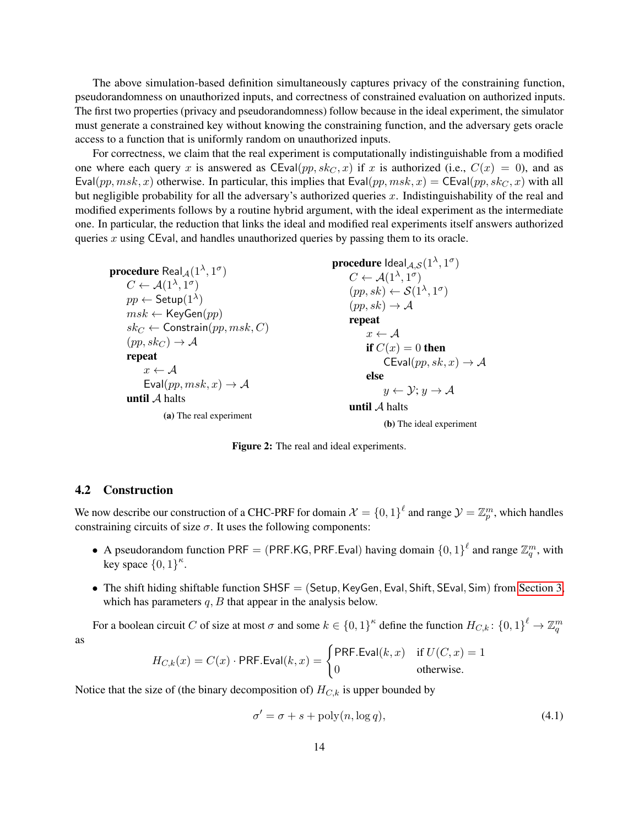The above simulation-based definition simultaneously captures privacy of the constraining function, pseudorandomness on unauthorized inputs, and correctness of constrained evaluation on authorized inputs. The first two properties (privacy and pseudorandomness) follow because in the ideal experiment, the simulator must generate a constrained key without knowing the constraining function, and the adversary gets oracle access to a function that is uniformly random on unauthorized inputs.

For correctness, we claim that the real experiment is computationally indistinguishable from a modified one where each query x is answered as  $CEval(pp, sk<sub>C</sub>, x)$  if x is authorized (i.e.,  $C(x) = 0$ ), and as  $Eval(pp, msk, x)$  otherwise. In particular, this implies that  $Eval(pp, msk, x) = CEval(pp, sk<sub>C</sub>, x)$  with all but negligible probability for all the adversary's authorized queries x. Indistinguishability of the real and modified experiments follows by a routine hybrid argument, with the ideal experiment as the intermediate one. In particular, the reduction that links the ideal and modified real experiments itself answers authorized queries  $x$  using CEval, and handles unauthorized queries by passing them to its oracle.

<span id="page-13-0"></span> $\mathbf{procedure} \ \mathsf{Real}_{\mathcal{A}}(1^{\lambda},1^{\sigma})$  $C \leftarrow \mathcal{A}(1^{\lambda}, 1^{\sigma})$  $pp \leftarrow \mathsf{Setup}(1^\lambda)$  $msk \leftarrow \mathsf{KeyGen}(pp)$  $sk_C \leftarrow$  Constrain $(pp, msk, C)$  $(pp, sk_C) \rightarrow A$ repeat  $x \leftarrow \mathcal{A}$ Eval $(pp, msk, x) \rightarrow A$ until  $A$  halts (a) The real experiment

procedure  $\mathsf{Ideal}_{\mathcal{A},\mathcal{S}}(1^\lambda,1^\sigma)$  $C \leftarrow \mathcal{A}(1^{\lambda}, 1^{\sigma})$  $(pp, sk) \leftarrow \mathcal{S}(1^{\lambda}, 1^{\sigma})$  $(pp, sk) \rightarrow A$ repeat  $x \leftarrow \mathcal{A}$ if  $C(x) = 0$  then  $CEval(pp, sk, x) \rightarrow A$ else  $y \leftarrow \mathcal{Y}; y \rightarrow \mathcal{A}$ until A halts

(b) The ideal experiment

Figure 2: The real and ideal experiments.

#### 4.2 Construction

We now describe our construction of a CHC-PRF for domain  $\mathcal{X} = \{0,1\}^{\ell}$  and range  $\mathcal{Y} = \mathbb{Z}_p^m$ , which handles constraining circuits of size  $\sigma$ . It uses the following components:

- A pseudorandom function PRF = (PRF.KG, PRF.Eval) having domain  $\{0,1\}^{\ell}$  and range  $\mathbb{Z}_q^m$ , with key space  $\{0,1\}^{\kappa}$ .
- The shift hiding shiftable function  $SHSF = (Setup, KeyGen,Eval, Shift, SEval, Sim)$  from [Section 3,](#page-6-0) which has parameters  $q$ ,  $B$  that appear in the analysis below.

For a boolean circuit C of size at most  $\sigma$  and some  $k \in \{0,1\}^k$  define the function  $H_{C,k}$ :  $\{0,1\}^{\ell} \to \mathbb{Z}_q^m$ as

$$
H_{C,k}(x) = C(x) \cdot \text{PRF.Eval}(k, x) = \begin{cases} \text{PRF.Eval}(k, x) & \text{if } U(C, x) = 1\\ 0 & \text{otherwise.} \end{cases}
$$

Notice that the size of (the binary decomposition of)  $H_{C,k}$  is upper bounded by

<span id="page-13-1"></span>
$$
\sigma' = \sigma + s + \text{poly}(n, \log q),\tag{4.1}
$$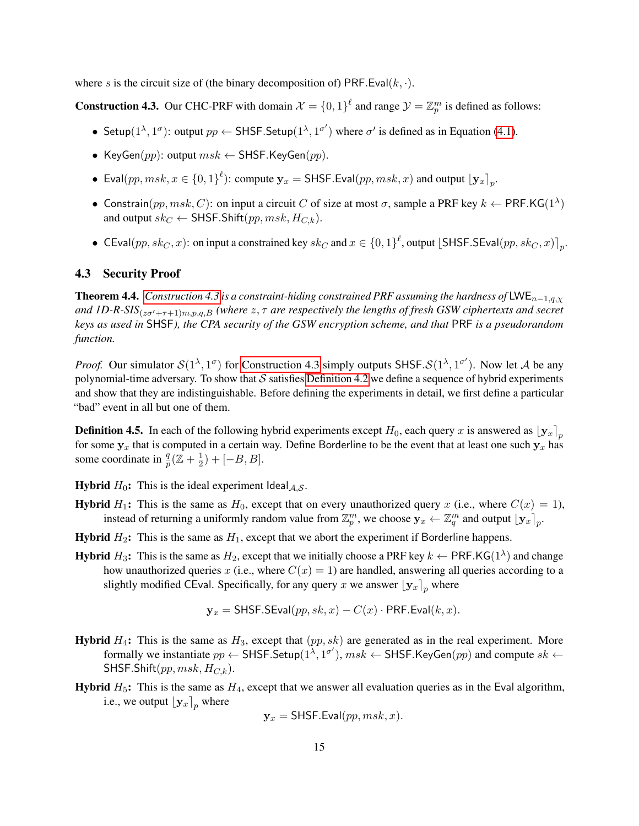where s is the circuit size of (the binary decomposition of) PRF.Eval( $k, \cdot$ ).

<span id="page-14-0"></span>**Construction 4.3.** Our CHC-PRF with domain  $\mathcal{X} = \{0, 1\}^{\ell}$  and range  $\mathcal{Y} = \mathbb{Z}_p^m$  is defined as follows:

- Setup( $1^{\lambda}$ ,  $1^{\sigma}$ ): output  $pp \leftarrow$  SHSF. Setup( $1^{\lambda}$ ,  $1^{\sigma'}$ ) where  $\sigma'$  is defined as in Equation [\(4.1\)](#page-13-1).
- KeyGen(pp): output  $msk \leftarrow$  SHSF.KeyGen(pp).
- Eval $(pp, msk, x \in \{0, 1\}^{\ell})$ : compute  $\mathbf{y}_x = \mathsf{SHSF}.\mathsf{Eval}(pp, msk, x)$  and output  $\lfloor \mathbf{y}_x \rfloor_p$ .
- Constrain $(pp, msk, C)$ : on input a circuit C of size at most  $\sigma$ , sample a PRF key  $k \leftarrow$  PRF.KG(1<sup> $\lambda$ </sup>) and output  $sk_C \leftarrow$  SHSF. Shift $(pp, msk, H_{C,k})$ .
- CEval $(pp, sk_C, x)$ : on input a constrained key  $sk_C$  and  $x \in \{0, 1\}^{\ell}$ , output [SHSF.SEval $(pp, sk_C, x)$ ]<sub>p</sub>.

#### 4.3 Security Proof

<span id="page-14-1"></span>**Theorem 4.4.** *[Construction 4.3](#page-14-0) is a constraint-hiding constrained PRF assuming the hardness of* LWE<sub>n−1,q, $\chi$ </sub> *and 1D-R-SIS*( $_{z\sigma' + \tau + 1 \mid m, p, q, B}$  (where  $z, \tau$  are respectively the lengths of fresh GSW ciphertexts and secret *keys as used in* SHSF*), the CPA security of the GSW encryption scheme, and that* PRF *is a pseudorandom function.*

*Proof.* Our simulator  $S(1^{\lambda}, 1^{\sigma})$  for [Construction 4.3](#page-14-0) simply outputs SHSF. $S(1^{\lambda}, 1^{\sigma'})$ . Now let A be any polynomial-time adversary. To show that  $S$  satisfies [Definition 4.2](#page-12-1) we define a sequence of hybrid experiments and show that they are indistinguishable. Before defining the experiments in detail, we first define a particular "bad" event in all but one of them.

<span id="page-14-2"></span>**Definition 4.5.** In each of the following hybrid experiments except  $H_0$ , each query x is answered as  $\lfloor y_x \rfloor_p$ for some  $y_x$  that is computed in a certain way. Define Borderline to be the event that at least one such  $y_x$  has some coordinate in  $\frac{q}{p}(\mathbb{Z} + \frac{1}{2})$  $(\frac{1}{2})+[-B,B].$ 

**Hybrid**  $H_0$ : This is the ideal experiment Ideal<sub>A,S</sub>.

- **Hybrid**  $H_1$ : This is the same as  $H_0$ , except that on every unauthorized query x (i.e., where  $C(x) = 1$ ), instead of returning a uniformly random value from  $\mathbb{Z}_p^m$ , we choose  $\mathbf{y}_x \leftarrow \mathbb{Z}_q^m$  and output  $[\mathbf{y}_x]_p$ .
- **Hybrid**  $H_2$ : This is the same as  $H_1$ , except that we abort the experiment if Borderline happens.
- **Hybrid**  $H_3$ : This is the same as  $H_2$ , except that we initially choose a PRF key  $k \leftarrow$  PRF.KG(1<sup> $\lambda$ </sup>) and change how unauthorized queries x (i.e., where  $C(x) = 1$ ) are handled, answering all queries according to a slightly modified CEval. Specifically, for any query x we answer  $\lfloor y_x \rfloor_p$  where

$$
\mathbf{y}_x = \mathsf{SHSF}.\mathsf{SEval}(pp, sk, x) - C(x) \cdot \mathsf{PRF}.\mathsf{Eval}(k, x).
$$

- **Hybrid**  $H_4$ : This is the same as  $H_3$ , except that  $(pp, sk)$  are generated as in the real experiment. More formally we instantiate  $pp \leftarrow$  SHSF.Setup $(1^{\overline{\lambda}}, 1^{\sigma'})$ ,  $msk \leftarrow$  SHSF.KeyGen $(pp)$  and compute  $sk \leftarrow$ SHSF.Shift(pp,  $msk, H_{C,k}$ ).
- **Hybrid**  $H_5$ : This is the same as  $H_4$ , except that we answer all evaluation queries as in the Eval algorithm, i.e., we output  $[y_x]_p$  where

$$
\mathbf{y}_x = \mathsf{SHSF}.\mathsf{Eval}(pp, msk, x).
$$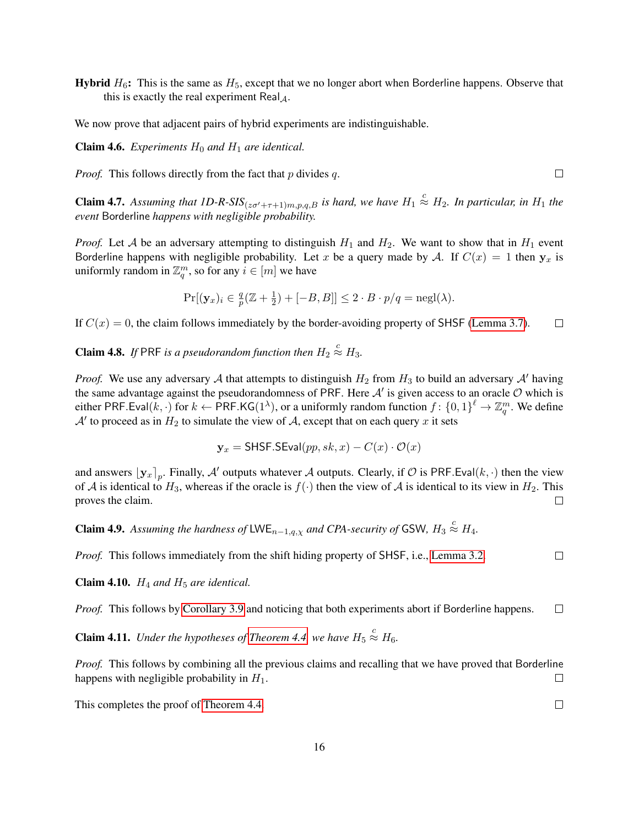**Hybrid**  $H_6$ : This is the same as  $H_5$ , except that we no longer abort when Borderline happens. Observe that this is exactly the real experiment Real $\mathcal{A}$ .

We now prove that adjacent pairs of hybrid experiments are indistinguishable.

**Claim 4.6.** *Experiments*  $H_0$  *and*  $H_1$  *are identical.* 

*Proof.* This follows directly from the fact that  $p$  divides  $q$ .

<span id="page-15-0"></span>**Claim 4.7.** Assuming that  $ID-R\text{-}SIS_{(z\sigma'+\tau+1)m,p,q,B}$  is hard, we have  $H_1 \stackrel{c}{\approx} H_2$ . In particular, in  $H_1$  the *event* Borderline *happens with negligible probability.*

*Proof.* Let A be an adversary attempting to distinguish  $H_1$  and  $H_2$ . We want to show that in  $H_1$  event Borderline happens with negligible probability. Let x be a query made by A. If  $C(x) = 1$  then  $y_x$  is uniformly random in  $\mathbb{Z}_q^m$ , so for any  $i \in [m]$  we have

$$
\Pr[(\mathbf{y}_x)_i \in \frac{q}{p}(\mathbb{Z} + \frac{1}{2}) + [-B, B]] \le 2 \cdot B \cdot p/q = \text{negl}(\lambda).
$$

If  $C(x) = 0$ , the claim follows immediately by the border-avoiding property of SHSF [\(Lemma 3.7\)](#page-10-2).  $\Box$ 

**Claim 4.8.** If PRF is a pseudorandom function then  $H_2 \stackrel{c}{\approx} H_3$ .

*Proof.* We use any adversary A that attempts to distinguish  $H_2$  from  $H_3$  to build an adversary A' having the same advantage against the pseudorandomness of PRF. Here  $A'$  is given access to an oracle  $O$  which is either PRF.Eval $(k, \cdot)$  for  $k \leftarrow$  PRF.KG(1<sup> $\lambda$ </sup>), or a uniformly random function  $f: \{0, 1\}^{\ell} \to \mathbb{Z}_q^m$ . We define  $\mathcal{A}'$  to proceed as in  $H_2$  to simulate the view of  $\mathcal{A}$ , except that on each query x it sets

$$
\mathbf{y}_x = \mathsf{SHSF}.\mathsf{SEval}(pp, sk, x) - C(x) \cdot \mathcal{O}(x)
$$

and answers  $[y_x]_p$ . Finally, A' outputs whatever A outputs. Clearly, if O is PRF.Eval(k, ·) then the view of A is identical to  $H_3$ , whereas if the oracle is  $f(\cdot)$  then the view of A is identical to its view in  $H_2$ . This proves the claim.  $\Box$ 

**Claim 4.9.** Assuming the hardness of LWE<sub>n-1,q, $\chi$  and CPA-security of GSW,  $H_3 \stackrel{c}{\approx} H_4$ .</sub>

*Proof.* This follows immediately from the shift hiding property of SHSF, i.e., [Lemma 3.2.](#page-9-3)

**Claim 4.10.**  $H_4$  *and*  $H_5$  *are identical.* 

*Proof.* This follows by [Corollary 3.9](#page-11-0) and noticing that both experiments abort if Borderline happens.  $\Box$ 

**Claim 4.11.** *Under the hypotheses of [Theorem 4.4,](#page-14-1) we have*  $H_5 \stackrel{c}{\approx} H_6$ .

*Proof.* This follows by combining all the previous claims and recalling that we have proved that Borderline happens with negligible probability in  $H_1$ .  $\Box$ 

This completes the proof of [Theorem 4.4.](#page-14-1)

 $\Box$ 

 $\Box$ 

 $\Box$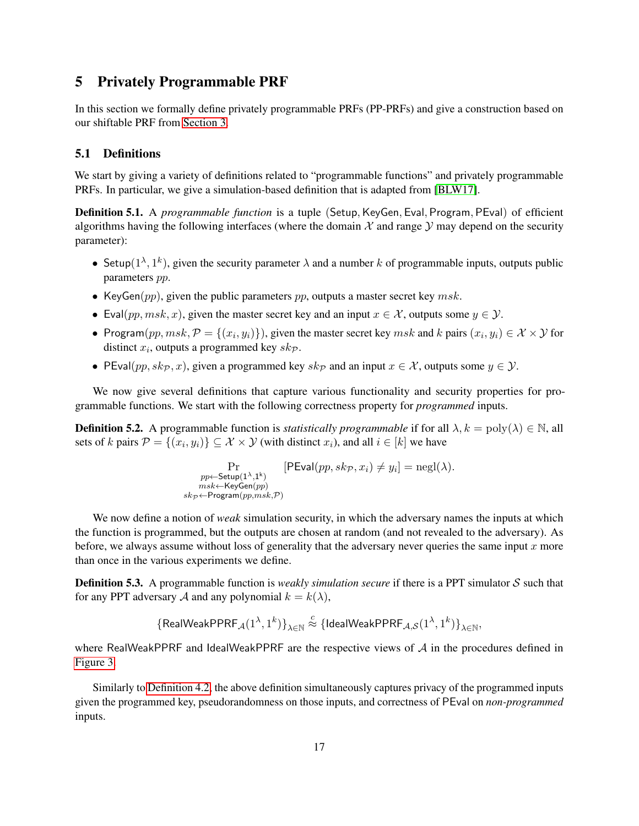# 5 Privately Programmable PRF

In this section we formally define privately programmable PRFs (PP-PRFs) and give a construction based on our shiftable PRF from [Section 3.](#page-6-0)

## 5.1 Definitions

We start by giving a variety of definitions related to "programmable functions" and privately programmable PRFs. In particular, we give a simulation-based definition that is adapted from [\[BLW17\]](#page-25-6).

**Definition 5.1.** A *programmable function* is a tuple (Setup, KeyGen, Eval, Program, PEval) of efficient algorithms having the following interfaces (where the domain  $\mathcal X$  and range  $\mathcal Y$  may depend on the security parameter):

- Setup( $1^{\lambda}, 1^k$ ), given the security parameter  $\lambda$  and a number k of programmable inputs, outputs public parameters pp.
- KeyGen( $pp$ ), given the public parameters  $pp$ , outputs a master secret key  $msk$ .
- Eval(pp, msk, x), given the master secret key and an input  $x \in \mathcal{X}$ , outputs some  $y \in \mathcal{Y}$ .
- Program $(pp, msk, \mathcal{P} = \{(x_i, y_i)\})$ , given the master secret key  $msk$  and k pairs  $(x_i, y_i) \in \mathcal{X} \times \mathcal{Y}$  for distinct  $x_i$ , outputs a programmed key  $sk_{\mathcal{P}}$ .
- PEval(pp,  $sk_{\mathcal{P}}, x$ ), given a programmed key  $sk_{\mathcal{P}}$  and an input  $x \in \mathcal{X}$ , outputs some  $y \in \mathcal{Y}$ .

We now give several definitions that capture various functionality and security properties for programmable functions. We start with the following correctness property for *programmed* inputs.

<span id="page-16-0"></span>**Definition 5.2.** A programmable function is *statistically programmable* if for all  $\lambda$ ,  $k = \text{poly}(\lambda) \in \mathbb{N}$ , all sets of k pairs  $P = \{(x_i, y_i)\} \subseteq \mathcal{X} \times \mathcal{Y}$  (with distinct  $x_i$ ), and all  $i \in [k]$  we have

$$
\Pr_{\substack{pp \leftarrow \textsf{Setup}(1^{\lambda},1^k) \\ msk \leftarrow \textsf{KeyGen}(pp) \\ sk_{\mathcal{P}} \leftarrow \textsf{Program}(pp,msk,\mathcal{P})}} [\textsf{PEval}(pp,sk_{\mathcal{P}},x_i) \neq y_i] = \textsf{negl}(\lambda).
$$

We now define a notion of *weak* simulation security, in which the adversary names the inputs at which the function is programmed, but the outputs are chosen at random (and not revealed to the adversary). As before, we always assume without loss of generality that the adversary never queries the same input  $x$  more than once in the various experiments we define.

<span id="page-16-1"></span>**Definition 5.3.** A programmable function is *weakly simulation secure* if there is a PPT simulator S such that for any PPT adversary A and any polynomial  $k = k(\lambda)$ ,

$$
\{\mathsf{RealWeakPPRF}_{\mathcal{A}}(1^\lambda,1^k)\}_{\lambda\in\mathbb{N}}\stackrel{c}{\approx}\{\mathsf{IdealWeakPPRF}_{\mathcal{A},\mathcal{S}}(1^\lambda,1^k)\}_{\lambda\in\mathbb{N}},
$$

where RealWeakPPRF and IdealWeakPPRF are the respective views of A in the procedures defined in [Figure 3.](#page-17-0)

<span id="page-16-2"></span>Similarly to [Definition 4.2,](#page-12-1) the above definition simultaneously captures privacy of the programmed inputs given the programmed key, pseudorandomness on those inputs, and correctness of PEval on *non-programmed* inputs.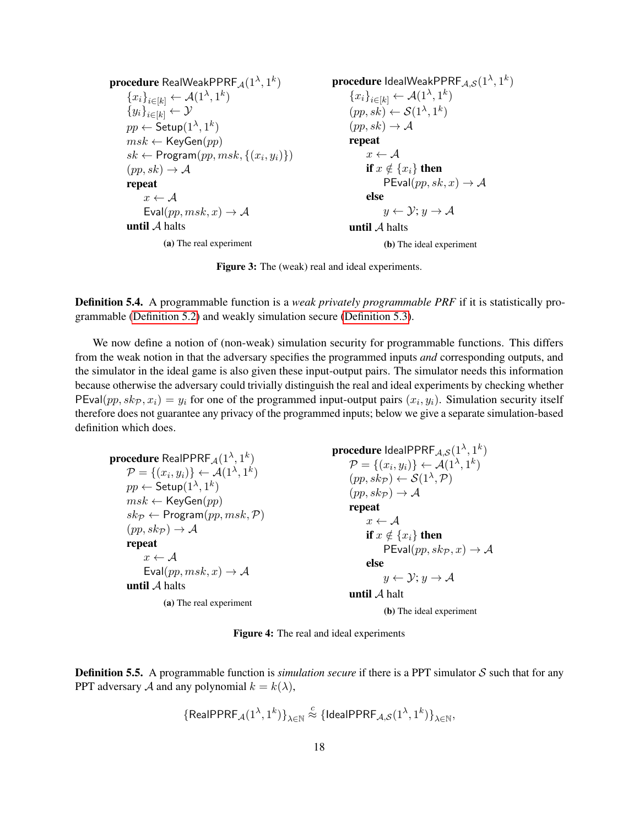<span id="page-17-0"></span> $\mathbf{procedure}$  RealWeakPPRF $_\mathcal{A}(1^\lambda,1^k)$  ${x_i}_{i\in[k]} \leftarrow \mathcal{A}(1^{\lambda}, 1^k)$  ${y_i}_{i\in[k]} \leftarrow \mathcal{Y}$  $pp \leftarrow \mathsf{Setup}(1^{\lambda},1^k)$  $msk \leftarrow \mathsf{KeyGen}(pp)$  $sk \leftarrow$  Program $(pp, msk, \{(x_i, y_i)\})$  $(pp, sk) \rightarrow A$ repeat  $x \leftarrow \mathcal{A}$ Eval $(pp, msk, x) \rightarrow A$ until  $A$  halts (a) The real experiment  $\mathbf{procedure}$  IdealWeakPPRF $_{\mathcal{A},\mathcal{S}}(1^{\lambda},1^k)$  ${x_i}_{i\in[k]} \leftarrow \mathcal{A}(1^{\lambda}, 1^k)$  $(pp, sk) \leftarrow \mathcal{S}(1^{\lambda}, 1^k)$  $(pp, sk) \rightarrow A$ repeat  $x \leftarrow \mathcal{A}$ if  $x \notin \{x_i\}$  then  $PEval(pp, sk, x) \rightarrow A$ else  $y \leftarrow \mathcal{Y}; y \rightarrow \mathcal{A}$ until  $A$  halts (b) The ideal experiment

Figure 3: The (weak) real and ideal experiments.

**Definition 5.4.** A programmable function is a *weak privately programmable PRF* if it is statistically programmable [\(Definition 5.2\)](#page-16-0) and weakly simulation secure [\(Definition 5.3\)](#page-16-1).

We now define a notion of (non-weak) simulation security for programmable functions. This differs from the weak notion in that the adversary specifies the programmed inputs *and* corresponding outputs, and the simulator in the ideal game is also given these input-output pairs. The simulator needs this information because otherwise the adversary could trivially distinguish the real and ideal experiments by checking whether PEval $(pp, sk_{\mathcal{P}}, x_i) = y_i$  for one of the programmed input-output pairs  $(x_i, y_i)$ . Simulation security itself therefore does not guarantee any privacy of the programmed inputs; below we give a separate simulation-based definition which does.

<span id="page-17-1"></span> $\boldsymbol{\mathsf{procedure}}$  Real $\mathsf{PPRF}_{\mathcal{A}}(1^\lambda,1^k)$  $\mathcal{P} = \{(x_i, y_i)\} \leftarrow \mathcal{A}(1^{\lambda}, 1^k)$  $pp \leftarrow \mathsf{Setup}(1^\lambda,1^k)$  $msk \leftarrow \mathsf{KeyGen}(pp)$  $sk_{\mathcal{P}} \leftarrow$  Program $(pp, msk, \mathcal{P})$  $(pp, sk_{\mathcal{P}}) \rightarrow \mathcal{A}$ repeat  $x \leftarrow \mathcal{A}$ Eval $(pp, msk, x) \rightarrow A$ until A halts (a) The real experiment  $\mathbf{procedure}$  IdeaIPPRF $_{\mathcal{A},\mathcal{S}}(1^{\lambda},1^k)$  $\mathcal{P} = \{(x_i, y_i)\}\leftarrow \mathcal{A}(1^{\lambda}, 1^k)$  $(pp, sk_{\mathcal{P}}) \leftarrow \mathcal{S}(1^{\lambda}, \mathcal{P})$  $(pp, sk_{\mathcal{P}}) \rightarrow \mathcal{A}$ repeat  $x \leftarrow \mathcal{A}$ if  $x \notin \{x_i\}$  then  $PEval(pp, sk_{\mathcal{P}}, x) \rightarrow \mathcal{A}$ else  $y \leftarrow \mathcal{Y}; y \rightarrow \mathcal{A}$ until A halt (b) The ideal experiment

Figure 4: The real and ideal experiments

<span id="page-17-2"></span>**Definition 5.5.** A programmable function is *simulation secure* if there is a PPT simulator S such that for any PPT adversary A and any polynomial  $k = k(\lambda)$ ,

$$
\{\mathsf{RealPPRF}_{\mathcal{A}}(1^\lambda,1^k)\}_{\lambda\in\mathbb{N}}\stackrel{c}{\approx}\{\mathsf{IdealPPRF}_{\mathcal{A},\mathcal{S}}(1^\lambda,1^k)\}_{\lambda\in\mathbb{N}},
$$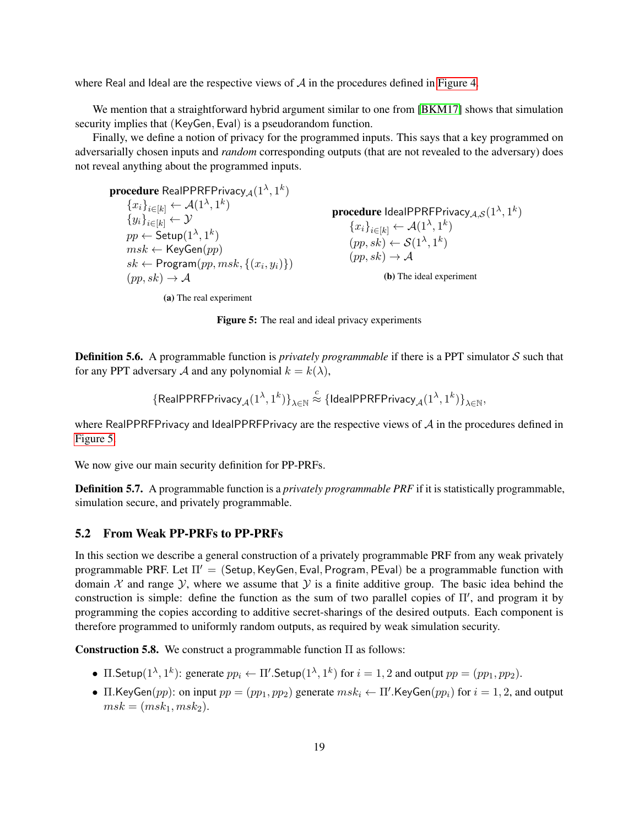where Real and Ideal are the respective views of  $A$  in the procedures defined in [Figure 4.](#page-17-1)

We mention that a straightforward hybrid argument similar to one from [\[BKM17\]](#page-25-9) shows that simulation security implies that (KeyGen, Eval) is a pseudorandom function.

Finally, we define a notion of privacy for the programmed inputs. This says that a key programmed on adversarially chosen inputs and *random* corresponding outputs (that are not revealed to the adversary) does not reveal anything about the programmed inputs.

<span id="page-18-0"></span> $\mathbf{procedure}$  RealPPRFPrivacy $_\mathcal{A}(1^\lambda,1^k)$  ${x_i}_{i\in[k]} \leftarrow \mathcal{A}(1^{\lambda}, 1^k)$  ${y_i}_{i\in[k]} \leftarrow \mathcal{Y}$  $pp \leftarrow \mathsf{Setup}(1^{\lambda},1^k)$  $msk \leftarrow \mathsf{KeyGen}(pp)$  $sk \leftarrow$  Program $(pp, msk, \{(x_i, y_i)\})$  $(pp, sk) \rightarrow A$  $\mathbf{procedure}$  Ideal<code>PPRFP</code>rivacy $_{\mathcal{A},\mathcal{S}}(1^{\lambda},1^k)$  ${x_i}_{i\in[k]} \leftarrow \mathcal{A}(1^{\lambda}, 1^k)$  $(pp, sk) \leftarrow \mathcal{S}(1^{\lambda}, 1^k)$  $(pp, sk) \rightarrow A$ (b) The ideal experiment

(a) The real experiment

Figure 5: The real and ideal privacy experiments

**Definition 5.6.** A programmable function is *privately programmable* if there is a PPT simulator S such that for any PPT adversary A and any polynomial  $k = k(\lambda)$ ,

$$
\{{\sf RealPPRFPrivacy}_{\mathcal A}(1^\lambda,1^k)\}_{\lambda\in\mathbb N}\stackrel{c}{\approx}\{\textsf{IdealPPRFPrivacy}_{\mathcal A}(1^\lambda,1^k)\}_{\lambda\in\mathbb N},
$$

where RealPPRFPrivacy and IdealPPRFPrivacy are the respective views of  $A$  in the procedures defined in [Figure 5.](#page-18-0)

<span id="page-18-2"></span>We now give our main security definition for PP-PRFs.

Definition 5.7. A programmable function is a *privately programmable PRF* if it is statistically programmable, simulation secure, and privately programmable.

## 5.2 From Weak PP-PRFs to PP-PRFs

In this section we describe a general construction of a privately programmable PRF from any weak privately programmable PRF. Let  $\Pi' =$  (Setup, KeyGen, Eval, Program, PEval) be a programmable function with domain X and range Y, where we assume that Y is a finite additive group. The basic idea behind the construction is simple: define the function as the sum of two parallel copies of  $\Pi'$ , and program it by programming the copies according to additive secret-sharings of the desired outputs. Each component is therefore programmed to uniformly random outputs, as required by weak simulation security.

<span id="page-18-1"></span>**Construction 5.8.** We construct a programmable function  $\Pi$  as follows:

- $\Pi$ . Setup $(1^{\lambda}, 1^k)$ : generate  $pp_i \leftarrow \Pi'$ . Setup $(1^{\lambda}, 1^k)$  for  $i = 1, 2$  and output  $pp = (pp_1, pp_2)$ .
- $\Pi$ .KeyGen(pp): on input  $pp = (pp_1, pp_2)$  generate  $msk_i \leftarrow \Pi'$ .KeyGen(p $p_i$ ) for  $i = 1, 2$ , and output  $msk = (msk_1,msk_2).$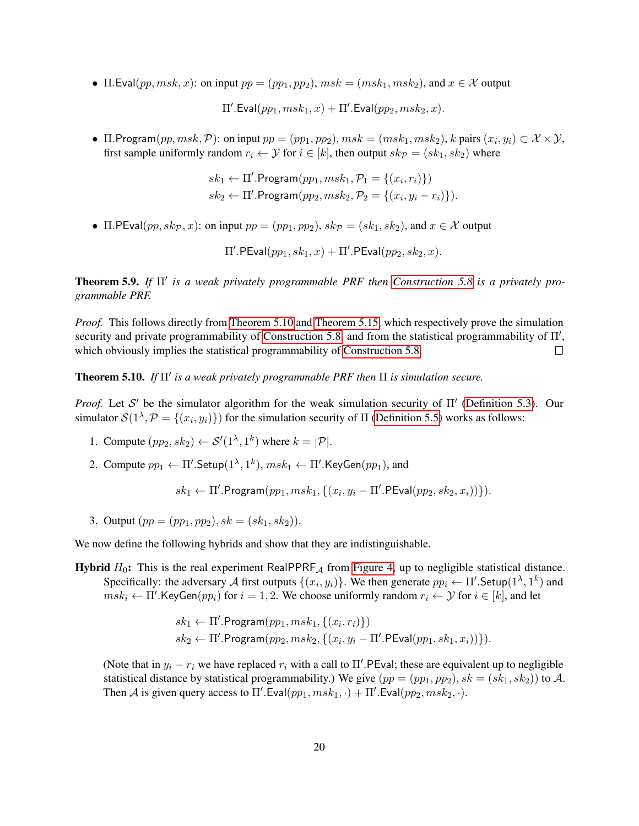•  $\Pi$ .Eval $(pp, msk, x)$ : on input  $pp = (pp_1, pp_2), msk = (msk_1, msk_2),$  and  $x \in \mathcal{X}$  output

 $\Pi'.\mathsf{Eval}(pp_1,msk_1,x) + \Pi'.\mathsf{Eval}(pp_2,msk_2,x).$ 

•  $\Pi$ . Program $(pp, msk, \mathcal{P})$ : on input  $pp = (pp_1, pp_2), msk = (msk_1, msk_2), k$  pairs  $(x_i, y_i) \subset \mathcal{X} \times \mathcal{Y}$ , first sample uniformly random  $r_i \leftarrow \mathcal{Y}$  for  $i \in [k]$ , then output  $sk_{\mathcal{P}} = (sk_1, sk_2)$  where

> $sk_1 \leftarrow \Pi'.Program(pp_1, msk_1, P_1 = \{(x_i, r_i)\})$  $sk_2 \leftarrow \Pi'.$ Program $(pp_2, msk_2, \mathcal{P}_2 = \{(x_i, y_i - r_i)\}).$

• Π.PEval(pp,  $sk_p$ , x): on input  $pp = (pp_1, pp_2)$ ,  $sk_p = (sk_1, sk_2)$ , and  $x \in \mathcal{X}$  output

 $\Pi'.\mathsf{PEval}(pp_1,sk_1,x) + \Pi'.\mathsf{PEval}(pp_2,sk_2,x).$ 

**Theorem 5.9.** If Π' is a weak privately programmable PRF then [Construction 5.8](#page-18-1) is a privately pro*grammable PRF.*

*Proof.* This follows directly from [Theorem 5.10](#page-19-0) and [Theorem 5.15,](#page-21-0) which respectively prove the simulation security and private programmability of [Construction 5.8,](#page-18-1) and from the statistical programmability of  $\Pi'$ , which obviously implies the statistical programmability of [Construction 5.8.](#page-18-1)  $\Box$ 

<span id="page-19-0"></span>**Theorem 5.10.** If  $\Pi'$  is a weak privately programmable PRF then  $\Pi$  is simulation secure.

*Proof.* Let S' be the simulator algorithm for the weak simulation security of  $\Pi'$  [\(Definition 5.3\)](#page-16-1). Our simulator  $\mathcal{S}(1^{\lambda}, \mathcal{P} = \{(x_i, y_i)\})$  for the simulation security of  $\Pi$  [\(Definition 5.5\)](#page-17-2) works as follows:

- 1. Compute  $(pp_2, sk_2) \leftarrow S'(1^{\lambda}, 1^k)$  where  $k = |\mathcal{P}|$ .
- 2. Compute  $pp_1 \leftarrow \Pi'.\mathsf{Setup}(1^{\lambda},1^k), \, msk_1 \leftarrow \Pi'.\mathsf{KeyGen}(pp_1),$  and

 $sk_1 \leftarrow \Pi'.$ Program $(pp_1, msk_1, \{(x_i, y_i - \Pi'.$ PEval $(pp_2, sk_2, x_i))\}).$ 

3. Output  $(pp = (pp_1, pp_2), sk = (sk_1, sk_2)).$ 

We now define the following hybrids and show that they are indistinguishable.

**Hybrid**  $H_0$ : This is the real experiment RealPPRF<sub>A</sub> from [Figure 4,](#page-17-1) up to negligible statistical distance. Specifically: the adversary A first outputs  $\{(x_i, y_i)\}\)$ . We then generate  $pp_i \leftarrow \Pi'$ . Setup $(1^{\lambda}, 1^k)$  and  $msk_i \leftarrow \Pi'.\mathsf{KeyGen}(pp_i)$  for  $i = 1, 2$ . We choose uniformly random  $r_i \leftarrow \mathcal{Y}$  for  $i \in [k]$ , and let

$$
sk_1 \leftarrow \Pi'.Program(pp_1, msk_1, \{(x_i, r_i)\})
$$
  

$$
sk_2 \leftarrow \Pi'.Program(pp_2, msk_2, \{(x_i, y_i - \Pi'.PEval(pp_1, sk_1, x_i))\}).
$$

(Note that in  $y_i - r_i$  we have replaced  $r_i$  with a call to  $\Pi'$ . PEval; these are equivalent up to negligible statistical distance by statistical programmability.) We give  $(pp = (pp_1, pp_2), sk = (sk_1, sk_2)$  to A. Then A is given query access to  $\Pi'$ . Eval $(pp_1, msk_1, \cdot) + \Pi'$ . Eval $(pp_2, msk_2, \cdot)$ .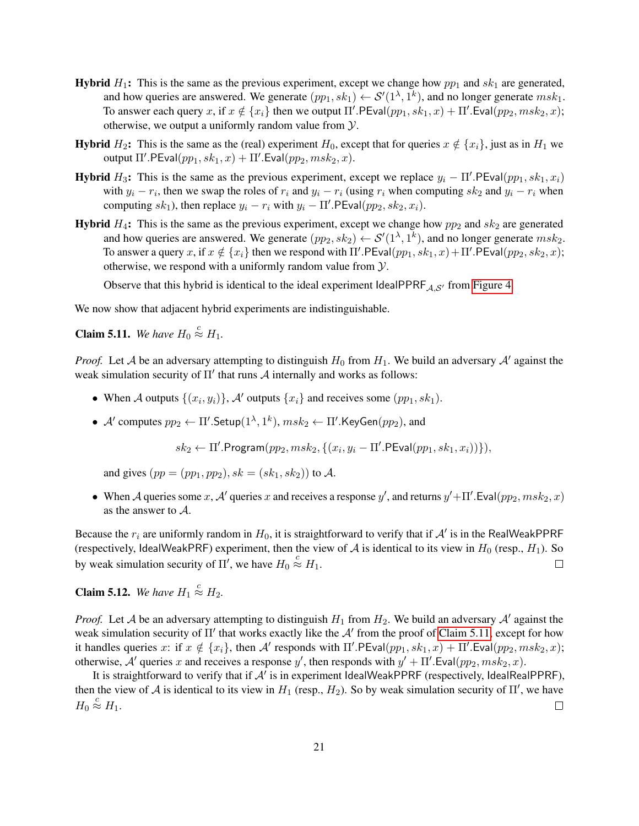- **Hybrid**  $H_1$ : This is the same as the previous experiment, except we change how  $pp_1$  and  $sk_1$  are generated, and how queries are answered. We generate  $(pp_1, sk_1) \leftarrow S'(1^{\lambda}, 1^k)$ , and no longer generate  $msk_1$ . To answer each query x, if  $x \notin \{x_i\}$  then we output  $\Pi'$ . PEval $(pp_1, sk_1, x) + \Pi'$ . Eval $(pp_2, msk_2, x)$ ; otherwise, we output a uniformly random value from  $\mathcal{Y}$ .
- **Hybrid**  $H_2$ : This is the same as the (real) experiment  $H_0$ , except that for queries  $x \notin \{x_i\}$ , just as in  $H_1$  we output  $\Pi'.\mathsf{PEval}(pp_1, sk_1, x) + \Pi'.\mathsf{Eval}(pp_2, msk_2, x).$
- **Hybrid**  $H_3$ : This is the same as the previous experiment, except we replace  $y_i \Pi'$ . PEval $(pp_1, sk_1, x_i)$ with  $y_i - r_i$ , then we swap the roles of  $r_i$  and  $y_i - r_i$  (using  $r_i$  when computing  $sk_2$  and  $y_i - r_i$  when computing  $sk_1$ ), then replace  $y_i - r_i$  with  $y_i - \Pi'$ . PEval $(pp_2, sk_2, x_i)$ .
- **Hybrid**  $H_4$ : This is the same as the previous experiment, except we change how  $pp_2$  and  $sk_2$  are generated and how queries are answered. We generate  $(pp_2, sk_2) \leftarrow S'(1^{\lambda}, 1^k)$ , and no longer generate  $msk_2$ . To answer a query x, if  $x \notin \{x_i\}$  then we respond with  $\Pi'$ . PEval $(pp_1, sk_1, x) + \Pi'$ . PEval $(pp_2, sk_2, x)$ ; otherwise, we respond with a uniformly random value from  $\mathcal{Y}$ .

Observe that this hybrid is identical to the ideal experiment IdealPPRF $A_{A,S'}$  from [Figure 4.](#page-17-1)

We now show that adjacent hybrid experiments are indistinguishable.

<span id="page-20-0"></span>**Claim 5.11.** We have  $H_0 \stackrel{c}{\approx} H_1$ .

*Proof.* Let A be an adversary attempting to distinguish  $H_0$  from  $H_1$ . We build an adversary A' against the weak simulation security of  $\Pi'$  that runs  $A$  internally and works as follows:

- When A outputs  $\{(x_i, y_i)\}\$ , A' outputs  $\{x_i\}$  and receives some  $(pp_1, sk_1)$ .
- A' computes  $pp_2 \leftarrow \Pi'$ . Setup $(1^{\lambda}, 1^k)$ ,  $msk_2 \leftarrow \Pi'$ . Key Gen $(pp_2)$ , and

 $sk_2 \leftarrow \Pi'.$ Program $(pp_2, msk_2, \{(x_i, y_i - \Pi'.$ PEval $(pp_1, sk_1, x_i))\}),$ 

and gives  $(pp = (pp_1, pp_2), sk = (sk_1, sk_2)$  to A.

• When A queries some x, A' queries x and receives a response y', and returns  $y' + \Pi'$ . Eval $(pp_2, m s k_2, x)$ as the answer to A.

Because the  $r_i$  are uniformly random in  $H_0$ , it is straightforward to verify that if  $\mathcal{A}'$  is in the RealWeakPPRF (respectively, IdealWeakPRF) experiment, then the view of  $A$  is identical to its view in  $H_0$  (resp.,  $H_1$ ). So by weak simulation security of  $\Pi'$ , we have  $H_0 \stackrel{c}{\approx} H_1$ .  $\Box$ 

**Claim 5.12.** We have  $H_1 \stackrel{c}{\approx} H_2$ .

*Proof.* Let A be an adversary attempting to distinguish  $H_1$  from  $H_2$ . We build an adversary A' against the weak simulation security of  $\Pi'$  that works exactly like the  $A'$  from the proof of [Claim 5.11,](#page-20-0) except for how it handles queries x: if  $x \notin \{x_i\}$ , then A' responds with  $\Pi'$ . PEval $(pp_1, sk_1, x) + \Pi'$ . Eval $(pp_2, msk_2, x)$ ; otherwise, A' queries x and receives a response y', then responds with  $y' + \Pi'$ . Eval $(pp_2, msk_2, x)$ .

It is straightforward to verify that if  $\mathcal{A}'$  is in experiment IdealWeakPPRF (respectively, IdealRealPPRF), then the view of A is identical to its view in  $H_1$  (resp.,  $H_2$ ). So by weak simulation security of  $\Pi'$ , we have  $H_0 \stackrel{c}{\approx} H_1.$  $\Box$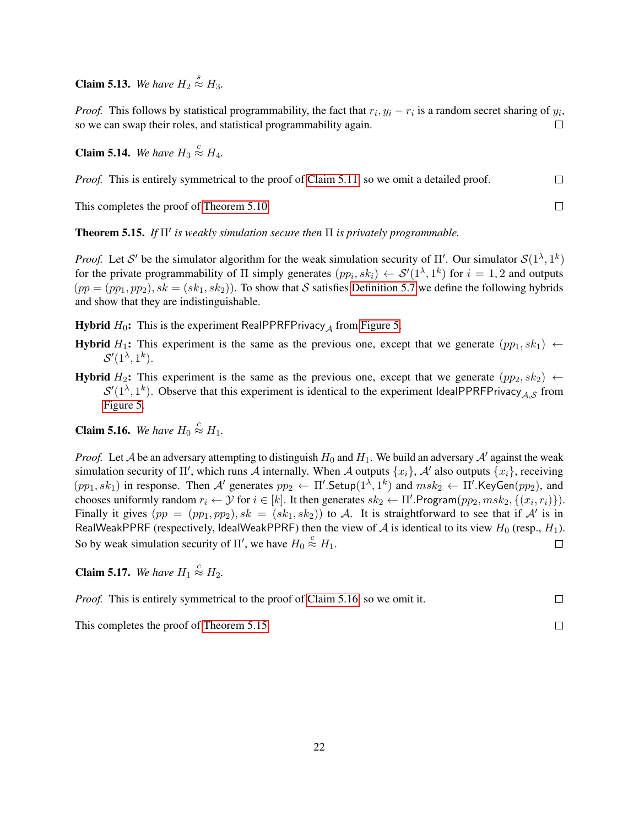**Claim 5.13.** We have  $H_2 \stackrel{s}{\approx} H_3$ .

*Proof.* This follows by statistical programmability, the fact that  $r_i$ ,  $y_i - r_i$  is a random secret sharing of  $y_i$ , so we can swap their roles, and statistical programmability again.  $\Box$ 

**Claim 5.14.** We have  $H_3 \stackrel{c}{\approx} H_4$ .

| <i>Proof.</i> This is entirely symmetrical to the proof of Claim 5.11, so we omit a detailed proof. | $\Box$ |
|-----------------------------------------------------------------------------------------------------|--------|
| This completes the proof of Theorem 5.10.                                                           |        |

This completes the proof of [Theorem 5.10.](#page-19-0)

<span id="page-21-0"></span>**Theorem 5.15.** If  $\Pi'$  is weakly simulation secure then  $\Pi$  is privately programmable.

*Proof.* Let S' be the simulator algorithm for the weak simulation security of  $\Pi'$ . Our simulator  $S(1^{\lambda}, 1^k)$ for the private programmability of  $\Pi$  simply generates  $(pp_i, sk_i) \leftarrow S'(1^{\lambda}, 1^k)$  for  $i = 1, 2$  and outputs  $(pp = (pp_1, pp_2), sk = (sk_1, sk_2)$ . To show that S satisfies [Definition 5.7](#page-18-2) we define the following hybrids and show that they are indistinguishable.

**Hybrid**  $H_0$ : This is the experiment RealPPRFPrivacy<sub>A</sub> from [Figure 5.](#page-18-0)

- **Hybrid**  $H_1$ : This experiment is the same as the previous one, except that we generate  $(pp_1, sk_1) \leftarrow$  $\mathcal{S}'(1^{\lambda},1^k).$
- **Hybrid** H<sub>2</sub>: This experiment is the same as the previous one, except that we generate  $(pp_2, sk_2) \leftarrow$  $S'(1^{\lambda}, 1^k)$ . Observe that this experiment is identical to the experiment IdealPPRFPrivacy<sub>A,S</sub> from [Figure 5.](#page-18-0)

<span id="page-21-1"></span>**Claim 5.16.** We have  $H_0 \stackrel{c}{\approx} H_1$ .

*Proof.* Let A be an adversary attempting to distinguish  $H_0$  and  $H_1$ . We build an adversary A' against the weak simulation security of  $\Pi'$ , which runs A internally. When A outputs  $\{x_i\}$ , A' also outputs  $\{x_i\}$ , receiving  $(pp_1, sk_1)$  in response. Then A' generates  $pp_2 \leftarrow \Pi'$ . Setup $(1^{\lambda}, 1^k)$  and  $msk_2 \leftarrow \Pi'$ . KeyGen $(pp_2)$ , and chooses uniformly random  $r_i \leftarrow \mathcal{Y}$  for  $i \in [k]$ . It then generates  $sk_2 \leftarrow \Pi'$ . Program $(pp_2, msk_2, \{(x_i, r_i)\})$ . Finally it gives  $(pp = (pp_1, pp_2), sk = (sk_1, sk_2)$  to A. It is straightforward to see that if A' is in RealWeakPPRF (respectively, IdealWeakPPRF) then the view of A is identical to its view  $H_0$  (resp.,  $H_1$ ). So by weak simulation security of  $\Pi'$ , we have  $H_0 \stackrel{c}{\approx} H_1$ .  $\Box$ 

**Claim 5.17.** We have  $H_1 \stackrel{c}{\approx} H_2$ .

*Proof.* This is entirely symmetrical to the proof of [Claim 5.16,](#page-21-1) so we omit it.  $\Box$ 

 $\Box$ 

This completes the proof of [Theorem 5.15.](#page-21-0)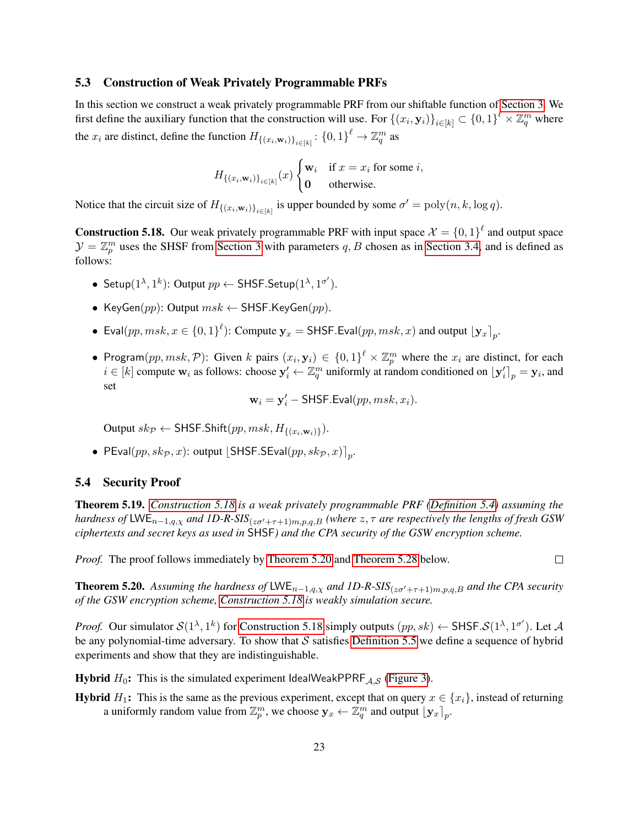#### 5.3 Construction of Weak Privately Programmable PRFs

In this section we construct a weak privately programmable PRF from our shiftable function of [Section 3.](#page-6-0) We first define the auxiliary function that the construction will use. For  $\{(x_i, \mathbf{y}_i)\}_{i\in[k]} \subset \{0,1\}^{\ell} \times \mathbb{Z}_q^m$  where the  $x_i$  are distinct, define the function  $H_{\{(x_i,\mathbf{w}_i)\}_{i\in[k]}}\colon \{0,1\}^{\ell} \to \mathbb{Z}_q^m$  as

$$
H_{\{(x_i,\mathbf{w}_i)\}_{i\in[k]}}(x)\begin{cases} \mathbf{w}_i & \text{if } x = x_i \text{ for some } i, \\ \mathbf{0} & \text{otherwise.} \end{cases}
$$

Notice that the circuit size of  $H_{\{(x_i,\mathbf{w}_i)\}_{i\in[k]}}$  is upper bounded by some  $\sigma' = \text{poly}(n, k, \log q)$ .

<span id="page-22-0"></span>**Construction 5.18.** Our weak privately programmable PRF with input space  $\mathcal{X} = \{0, 1\}^{\ell}$  and output space  $\mathcal{Y} = \mathbb{Z}_p^m$  uses the SHSF from [Section 3](#page-6-0) with parameters q, B chosen as in [Section 3.4,](#page-12-0) and is defined as follows:

- Setup $(1^{\lambda}, 1^k)$ : Output  $pp \leftarrow$  SHSF. Setup $(1^{\lambda}, 1^{\sigma'})$ .
- KeyGen(pp): Output  $msk \leftarrow$  SHSF.KeyGen(pp).
- Eval $(pp, msk, x \in \{0, 1\}^{\ell})$ : Compute  $\mathbf{y}_x = \mathsf{SHSF}$ . Eval $(pp, msk, x)$  and output  $\lfloor \mathbf{y}_x \rfloor_p$ .
- Program $(pp, msk, \mathcal{P})$ : Given k pairs  $(x_i, y_i) \in \{0, 1\}^{\ell} \times \mathbb{Z}_p^m$  where the  $x_i$  are distinct, for each  $i \in [k]$  compute  $w_i$  as follows: choose  $y'_i \leftarrow \mathbb{Z}_q^m$  uniformly at random conditioned on  $[y'_i]_p = y_i$ , and set

$$
\mathbf{w}_i = \mathbf{y}'_i - \mathsf{SHSF.Eval}(pp, msk, x_i).
$$

Output  $sk_{\mathcal{P}} \leftarrow \textsf{SHSF}.\textsf{Shift}(pp,msk,H_{\{(x_i,\mathbf{w}_i)\}}).$ 

• PEval $(pp, sk_{\mathcal{P}}, x)$ : output  $\lfloor \textsf{SHSF}.\textsf{SEval}(pp, sk_{\mathcal{P}}, x) \rceil_p.$ 

#### 5.4 Security Proof

Theorem 5.19. *[Construction 5.18](#page-22-0) is a weak privately programmable PRF [\(Definition 5.4\)](#page-16-2) assuming the hardness of* LWE<sub>n−1,q, $\chi$  *and 1D-R-SIS*( $z\sigma' + \tau + 1$ )m,p,q,B (where  $z, \tau$  *are respectively the lengths of fresh GSW*</sub> *ciphertexts and secret keys as used in* SHSF*) and the CPA security of the GSW encryption scheme.*

*Proof.* The proof follows immediately by [Theorem 5.20](#page-22-1) and [Theorem 5.28](#page-24-4) below.

 $\Box$ 

<span id="page-22-1"></span>**Theorem 5.20.** Assuming the hardness of LWE<sub>n-1,q, $\chi$  and 1D-R-SIS<sub>(z $\sigma'$ + $\tau$ +1)m,p,q,B and the CPA security</sub></sub> *of the GSW encryption scheme, [Construction 5.18](#page-22-0) is weakly simulation secure.*

*Proof.* Our simulator  $S(1^{\lambda}, 1^k)$  for [Construction 5.18](#page-22-0) simply outputs  $(pp, sk) \leftarrow$  SHSF. $S(1^{\lambda}, 1^{\sigma'})$ . Let A be any polynomial-time adversary. To show that  $S$  satisfies [Definition 5.5](#page-17-2) we define a sequence of hybrid experiments and show that they are indistinguishable.

**Hybrid**  $H_0$ : This is the simulated experiment IdealWeakPPRF<sub>A,S</sub> [\(Figure 3\)](#page-17-0).

**Hybrid**  $H_1$ : This is the same as the previous experiment, except that on query  $x \in \{x_i\}$ , instead of returning a uniformly random value from  $\mathbb{Z}_p^m$ , we choose  $\mathbf{y}_x \leftarrow \mathbb{Z}_q^m$  and output  $[\mathbf{y}_x]_p$ .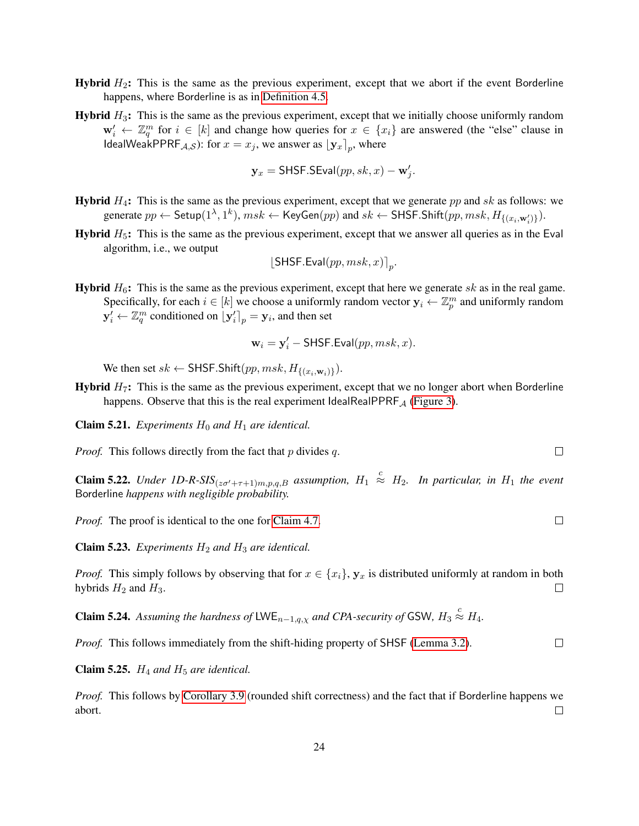- **Hybrid**  $H_2$ : This is the same as the previous experiment, except that we abort if the event Borderline happens, where Borderline is as in [Definition 4.5.](#page-14-2)
- **Hybrid**  $H_3$ : This is the same as the previous experiment, except that we initially choose uniformly random  $\mathbf{w}'_i \leftarrow \mathbb{Z}_q^m$  for  $i \in [k]$  and change how queries for  $x \in \{x_i\}$  are answered (the "else" clause in IdealWeakPPRF<sub>A,S</sub>): for  $x = x_j$ , we answer as  $[y_x]_p$ , where

$$
\mathbf{y}_x = \mathsf{SHSF}.\mathsf{SEval}(pp, sk, x) - \mathbf{w}'_j.
$$

- **Hybrid**  $H_4$ : This is the same as the previous experiment, except that we generate pp and sk as follows: we generate  $pp \leftarrow$  Setup $(1^{\lambda}, 1^k)$ ,  $msk \leftarrow$  KeyGen $(pp)$  and  $sk \leftarrow$  SHSF.Shift $(pp, msk, H_{\{(x_i, \mathbf{w}'_i)\}})$ .
- **Hybrid**  $H_5$ : This is the same as the previous experiment, except that we answer all queries as in the Eval algorithm, i.e., we output

$$
[\mathsf{SHSF}.\mathsf{Eval}(pp, msk, x)]_p.
$$

**Hybrid**  $H_6$ : This is the same as the previous experiment, except that here we generate sk as in the real game. Specifically, for each  $i \in [k]$  we choose a uniformly random vector  $y_i \leftarrow \mathbb{Z}_p^m$  and uniformly random  $\mathbf{y}'_i \leftarrow \mathbb{Z}_q^m$  conditioned on  $\left[\mathbf{y}'_i\right]_p = \mathbf{y}_i$ , and then set

$$
\mathbf{w}_i = \mathbf{y}'_i - \mathsf{SHSF}.\mathsf{Eval}(pp, msk, x).
$$

We then set  $sk \leftarrow$  SHSF.Shift $(pp, msk, H_{\{(x_i, \mathbf{w}_i)\}})$ .

**Hybrid**  $H_7$ : This is the same as the previous experiment, except that we no longer abort when Borderline happens. Observe that this is the real experiment IdealRealPPRF<sub>A</sub> [\(Figure 3\)](#page-17-0).

**Claim 5.21.** *Experiments*  $H_0$  *and*  $H_1$  *are identical.* 

*Proof.* This follows directly from the fact that  $p$  divides  $q$ .

**Claim 5.22.** Under 1D-R-SIS<sub>(z $\sigma' + \tau + 1$ ) $m, p, q, B$  assumption,  $H_1 \stackrel{c}{\approx} H_2$ . In particular, in  $H_1$  the event</sub> Borderline *happens with negligible probability.*

*Proof.* The proof is identical to the one for [Claim 4.7.](#page-15-0)

**Claim 5.23.** *Experiments*  $H_2$  *and*  $H_3$  *are identical.* 

*Proof.* This simply follows by observing that for  $x \in \{x_i\}$ ,  $y_x$  is distributed uniformly at random in both hybrids  $H_2$  and  $H_3$ .  $\Box$ 

**Claim 5.24.** Assuming the hardness of LWE<sub>n-1,q, $\chi$ </sub> and CPA-security of GSW,  $H_3 \stackrel{c}{\approx} H_4$ .

*Proof.* This follows immediately from the shift-hiding property of SHSF [\(Lemma 3.2\)](#page-9-3).

**Claim 5.25.**  $H_4$  *and*  $H_5$  *are identical.* 

*Proof.* This follows by [Corollary 3.9](#page-11-0) (rounded shift correctness) and the fact that if Borderline happens we abort.  $\Box$ 

 $\Box$ 

 $\Box$ 

 $\Box$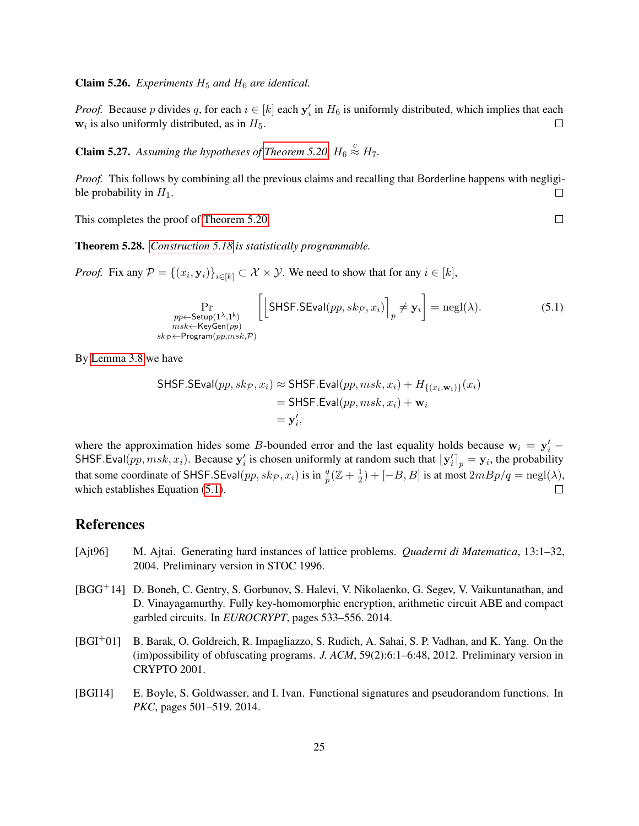**Claim 5.26.** *Experiments*  $H_5$  *and*  $H_6$  *are identical.* 

*Proof.* Because p divides q, for each  $i \in [k]$  each  $y'_i$  in  $H_6$  is uniformly distributed, which implies that each  $w_i$  is also uniformly distributed, as in  $H_5$ .  $\Box$ 

**Claim 5.27.** Assuming the hypotheses of [Theorem 5.20,](#page-22-1)  $H_6 \stackrel{c}{\approx} H_7$ .

*Proof.* This follows by combining all the previous claims and recalling that Borderline happens with negligible probability in  $H_1$ .  $\Box$ 

This completes the proof of [Theorem 5.20.](#page-22-1)

<span id="page-24-4"></span>Theorem 5.28. *[Construction 5.18](#page-22-0) is statistically programmable.*

*Proof.* Fix any  $P = \{(x_i, \mathbf{y}_i)\}_{i \in [k]} \subset \mathcal{X} \times \mathcal{Y}$ . We need to show that for any  $i \in [k]$ ,

$$
\Pr_{\substack{pp \leftarrow \text{Setup}(1^{\lambda}, 1^{k}) \\ msk \leftarrow \text{KeyGen}(pp) \\ sk_{\mathcal{P}} \leftarrow \text{Program}(pp, msk, \mathcal{P})}} \left[ \left[ \text{SHSF}.\text{SEval}(pp, sk_{\mathcal{P}}, x_{i}) \right]_{p} \neq \mathbf{y}_{i} \right] = \text{negl}(\lambda). \tag{5.1}
$$

By [Lemma 3.8](#page-10-1) we have

SHSF.SEval
$$
(pp, skp, x_i)
$$
  $\approx$  SHSF.Eval $(pp, msk, x_i)$  +  $H_{\{(x_i, \mathbf{w}_i)\}}(x_i)$   
= SHSF.Eval $(pp, msk, x_i)$  +  $\mathbf{w}_i$   
=  $\mathbf{y}'_i$ ,

where the approximation hides some B-bounded error and the last equality holds because  $w_i = y'_i$  – SHSF.Eval(pp, msk, x<sub>i</sub>). Because  $y'_i$  is chosen uniformly at random such that  $[y'_i]_p = y_i$ , the probability that some coordinate of SHSF.SEval $(pp, sk_{\mathcal{P}}, x_i)$  is in  $\frac{q}{p}(\mathbb{Z} + \frac{1}{2})$  $\frac{1}{2}$ ) + [−B, B] is at most  $2mBp/q = \text{negl}(\lambda)$ , which establishes Equation [\(5.1\)](#page-24-5).  $\Box$ 

# References

- <span id="page-24-3"></span>[Ajt96] M. Ajtai. Generating hard instances of lattice problems. *Quaderni di Matematica*, 13:1–32, 2004. Preliminary version in STOC 1996.
- <span id="page-24-2"></span>[BGG+14] D. Boneh, C. Gentry, S. Gorbunov, S. Halevi, V. Nikolaenko, G. Segev, V. Vaikuntanathan, and D. Vinayagamurthy. Fully key-homomorphic encryption, arithmetic circuit ABE and compact garbled circuits. In *EUROCRYPT*, pages 533–556. 2014.
- <span id="page-24-1"></span>[BGI+01] B. Barak, O. Goldreich, R. Impagliazzo, S. Rudich, A. Sahai, S. P. Vadhan, and K. Yang. On the (im)possibility of obfuscating programs. *J. ACM*, 59(2):6:1–6:48, 2012. Preliminary version in CRYPTO 2001.
- <span id="page-24-0"></span>[BGI14] E. Boyle, S. Goldwasser, and I. Ivan. Functional signatures and pseudorandom functions. In *PKC*, pages 501–519. 2014.

<span id="page-24-5"></span> $\Box$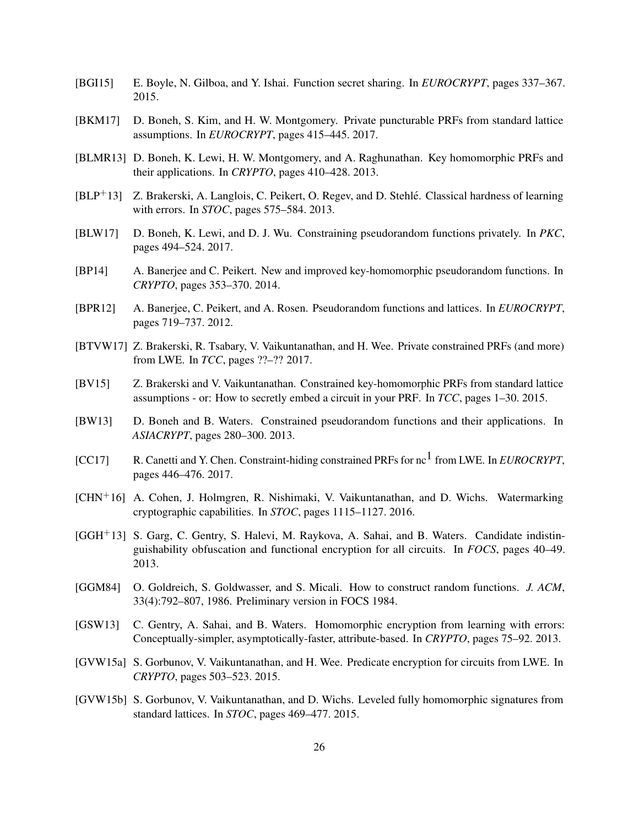- <span id="page-25-7"></span>[BGI15] E. Boyle, N. Gilboa, and Y. Ishai. Function secret sharing. In *EUROCRYPT*, pages 337–367. 2015.
- <span id="page-25-9"></span>[BKM17] D. Boneh, S. Kim, and H. W. Montgomery. Private puncturable PRFs from standard lattice assumptions. In *EUROCRYPT*, pages 415–445. 2017.
- <span id="page-25-3"></span>[BLMR13] D. Boneh, K. Lewi, H. W. Montgomery, and A. Raghunathan. Key homomorphic PRFs and their applications. In *CRYPTO*, pages 410–428. 2013.
- <span id="page-25-16"></span> $[BLP<sup>+</sup>13]$  Z. Brakerski, A. Langlois, C. Peikert, O. Regev, and D. Stehlé. Classical hardness of learning with errors. In *STOC*, pages 575–584. 2013.
- <span id="page-25-6"></span>[BLW17] D. Boneh, K. Lewi, and D. J. Wu. Constraining pseudorandom functions privately. In *PKC*, pages 494–524. 2017.
- <span id="page-25-4"></span>[BP14] A. Banerjee and C. Peikert. New and improved key-homomorphic pseudorandom functions. In *CRYPTO*, pages 353–370. 2014.
- <span id="page-25-2"></span>[BPR12] A. Banerjee, C. Peikert, and A. Rosen. Pseudorandom functions and lattices. In *EUROCRYPT*, pages 719–737. 2012.
- <span id="page-25-11"></span>[BTVW17] Z. Brakerski, R. Tsabary, V. Vaikuntanathan, and H. Wee. Private constrained PRFs (and more) from LWE. In *TCC*, pages ??–?? 2017.
- <span id="page-25-5"></span>[BV15] Z. Brakerski and V. Vaikuntanathan. Constrained key-homomorphic PRFs from standard lattice assumptions - or: How to secretly embed a circuit in your PRF. In *TCC*, pages 1–30. 2015.
- <span id="page-25-1"></span>[BW13] D. Boneh and B. Waters. Constrained pseudorandom functions and their applications. In *ASIACRYPT*, pages 280–300. 2013.
- <span id="page-25-10"></span>[CC17] R. Canetti and Y. Chen. Constraint-hiding constrained PRFs for nc<sup>1</sup> from LWE. In *EUROCRYPT*, pages 446–476. 2017.
- <span id="page-25-12"></span>[CHN+16] A. Cohen, J. Holmgren, R. Nishimaki, V. Vaikuntanathan, and D. Wichs. Watermarking cryptographic capabilities. In *STOC*, pages 1115–1127. 2016.
- <span id="page-25-8"></span>[GGH+13] S. Garg, C. Gentry, S. Halevi, M. Raykova, A. Sahai, and B. Waters. Candidate indistinguishability obfuscation and functional encryption for all circuits. In *FOCS*, pages 40–49. 2013.
- <span id="page-25-0"></span>[GGM84] O. Goldreich, S. Goldwasser, and S. Micali. How to construct random functions. *J. ACM*, 33(4):792–807, 1986. Preliminary version in FOCS 1984.
- <span id="page-25-13"></span>[GSW13] C. Gentry, A. Sahai, and B. Waters. Homomorphic encryption from learning with errors: Conceptually-simpler, asymptotically-faster, attribute-based. In *CRYPTO*, pages 75–92. 2013.
- <span id="page-25-15"></span>[GVW15a] S. Gorbunov, V. Vaikuntanathan, and H. Wee. Predicate encryption for circuits from LWE. In *CRYPTO*, pages 503–523. 2015.
- <span id="page-25-14"></span>[GVW15b] S. Gorbunov, V. Vaikuntanathan, and D. Wichs. Leveled fully homomorphic signatures from standard lattices. In *STOC*, pages 469–477. 2015.